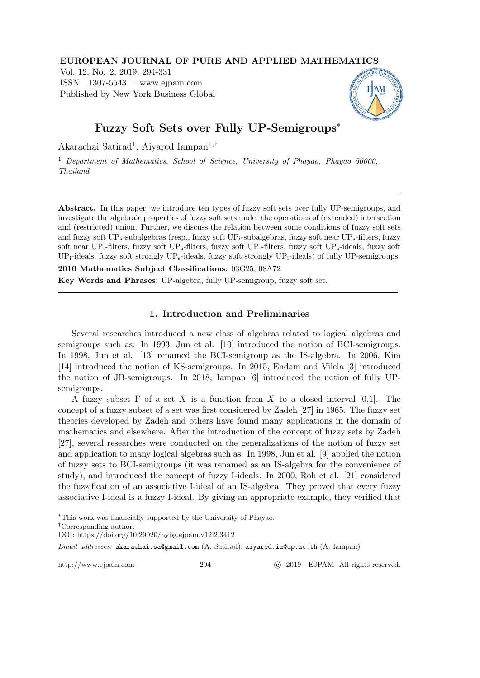### EUROPEAN JOURNAL OF PURE AND APPLIED MATHEMATICS

Vol. 12, No. 2, 2019, 294-331 ISSN 1307-5543 – www.ejpam.com Published by New York Business Global



# Fuzzy Soft Sets over Fully UP-Semigroups<sup>∗</sup>

Akarachai Satirad<sup>1</sup>, Aiyared Iampan<sup>1,†</sup>

<sup>1</sup> Department of Mathematics, School of Science, University of Phayao, Phayao 56000, Thailand

Abstract. In this paper, we introduce ten types of fuzzy soft sets over fully UP-semigroups, and investigate the algebraic properties of fuzzy soft sets under the operations of (extended) intersection and (restricted) union. Further, we discuss the relation between some conditions of fuzzy soft sets and fuzzy soft  $UP_s$ -subalgebras (resp., fuzzy soft  $UP_i$ -subalgebras, fuzzy soft near  $UP_s$ -filters, fuzzy soft near UP<sub>i</sub>-filters, fuzzy soft UP<sub>s</sub>-filters, fuzzy soft UP<sub>i</sub>-filters, fuzzy soft UP<sub>s</sub>-ideals, fuzzy soft  $UP_i$ -ideals, fuzzy soft strongly  $UP_s$ -ideals, fuzzy soft strongly  $UP_i$ -ideals) of fully UP-semigroups.

2010 Mathematics Subject Classifications: 03G25, 08A72 Key Words and Phrases: UP-algebra, fully UP-semigroup, fuzzy soft set.

# 1. Introduction and Preliminaries

Several researches introduced a new class of algebras related to logical algebras and semigroups such as: In 1993, Jun et al. [10] introduced the notion of BCI-semigroups. In 1998, Jun et al. [13] renamed the BCI-semigroup as the IS-algebra. In 2006, Kim [14] introduced the notion of KS-semigroups. In 2015, Endam and Vilela [3] introduced the notion of JB-semigroups. In 2018, Iampan [6] introduced the notion of fully UPsemigroups.

A fuzzy subset F of a set X is a function from X to a closed interval  $[0,1]$ . The concept of a fuzzy subset of a set was first considered by Zadeh [27] in 1965. The fuzzy set theories developed by Zadeh and others have found many applications in the domain of mathematics and elsewhere. After the introduction of the concept of fuzzy sets by Zadeh [27], several researches were conducted on the generalizations of the notion of fuzzy set and application to many logical algebras such as: In 1998, Jun et al. [9] applied the notion of fuzzy sets to BCI-semigroups (it was renamed as an IS-algebra for the convenience of study), and introduced the concept of fuzzy I-ideals. In 2000, Roh et al. [21] considered the fuzzification of an associative I-ideal of an IS-algebra. They proved that every fuzzy associative I-ideal is a fuzzy I-ideal. By giving an appropriate example, they verified that

Email addresses: akarachai.sa@gmail.com (A. Satirad), aiyared.ia@up.ac.th (A. Iampan)

http://www.ejpam.com 294 © 2019 EJPAM All rights reserved.

<sup>∗</sup>This work was financially supported by the University of Phayao.

<sup>†</sup>Corresponding author.

DOI: https://doi.org/10.29020/nybg.ejpam.v12i2.3412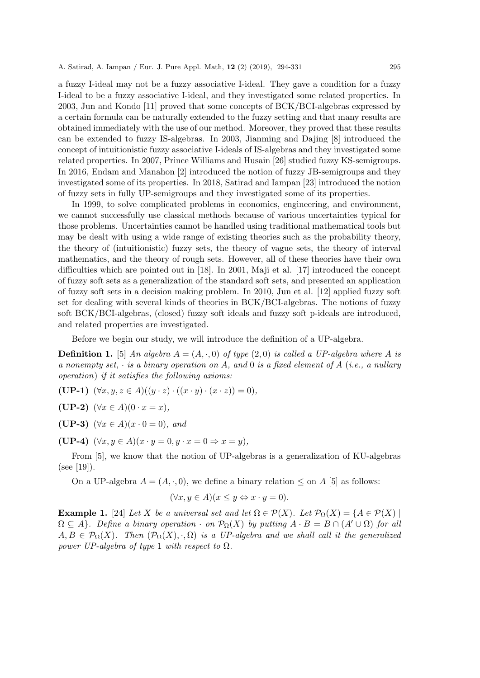a fuzzy I-ideal may not be a fuzzy associative I-ideal. They gave a condition for a fuzzy I-ideal to be a fuzzy associative I-ideal, and they investigated some related properties. In 2003, Jun and Kondo [11] proved that some concepts of BCK/BCI-algebras expressed by a certain formula can be naturally extended to the fuzzy setting and that many results are obtained immediately with the use of our method. Moreover, they proved that these results can be extended to fuzzy IS-algebras. In 2003, Jianming and Dajing [8] introduced the concept of intuitionistic fuzzy associative I-ideals of IS-algebras and they investigated some related properties. In 2007, Prince Williams and Husain [26] studied fuzzy KS-semigroups. In 2016, Endam and Manahon [2] introduced the notion of fuzzy JB-semigroups and they investigated some of its properties. In 2018, Satirad and Iampan [23] introduced the notion of fuzzy sets in fully UP-semigroups and they investigated some of its properties.

In 1999, to solve complicated problems in economics, engineering, and environment, we cannot successfully use classical methods because of various uncertainties typical for those problems. Uncertainties cannot be handled using traditional mathematical tools but may be dealt with using a wide range of existing theories such as the probability theory, the theory of (intuitionistic) fuzzy sets, the theory of vague sets, the theory of interval mathematics, and the theory of rough sets. However, all of these theories have their own difficulties which are pointed out in [18]. In 2001, Maji et al. [17] introduced the concept of fuzzy soft sets as a generalization of the standard soft sets, and presented an application of fuzzy soft sets in a decision making problem. In 2010, Jun et al. [12] applied fuzzy soft set for dealing with several kinds of theories in BCK/BCI-algebras. The notions of fuzzy soft BCK/BCI-algebras, (closed) fuzzy soft ideals and fuzzy soft p-ideals are introduced, and related properties are investigated.

Before we begin our study, we will introduce the definition of a UP-algebra.

**Definition 1.** [5] An algebra  $A = (A, \cdot, 0)$  of type  $(2, 0)$  is called a UP-algebra where A is a nonempty set,  $\cdot$  is a binary operation on A, and 0 is a fixed element of A (i.e., a nullary operation) if it satisfies the following axioms:

(UP-1)  $(\forall x, y, z \in A)((y \cdot z) \cdot ((x \cdot y) \cdot (x \cdot z)) = 0),$ 

(UP-2)  $(\forall x \in A)(0 \cdot x = x)$ ,

(UP-3)  $(\forall x \in A)(x \cdot 0 = 0)$ , and

(UP-4)  $(\forall x, y \in A)(x \cdot y = 0, y \cdot x = 0 \Rightarrow x = y)$ ,

From [5], we know that the notion of UP-algebras is a generalization of KU-algebras (see [19]).

On a UP-algebra  $A = (A, \cdot, 0)$ , we define a binary relation  $\leq$  on A [5] as follows:

$$
(\forall x, y \in A)(x \le y \Leftrightarrow x \cdot y = 0).
$$

**Example 1.** [24] Let X be a universal set and let  $\Omega \in \mathcal{P}(X)$ . Let  $\mathcal{P}_{\Omega}(X) = \{A \in \mathcal{P}(X) \mid \Omega\}$  $\Omega \subseteq A$ . Define a binary operation · on  $\mathcal{P}_{\Omega}(X)$  by putting  $A \cdot B = B \cap (A' \cup \Omega)$  for all  $A, B \in \mathcal{P}_{\Omega}(X)$ . Then  $(\mathcal{P}_{\Omega}(X), \cdot, \Omega)$  is a UP-algebra and we shall call it the generalized power UP-algebra of type 1 with respect to  $\Omega$ .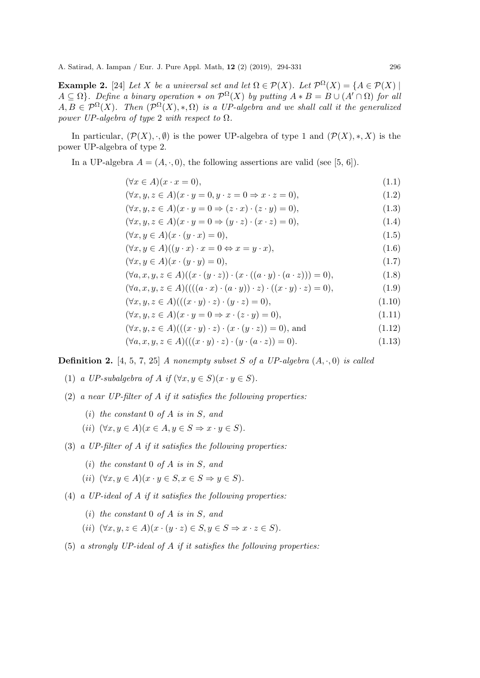**Example 2.** [24] Let X be a universal set and let  $\Omega \in \mathcal{P}(X)$ . Let  $\mathcal{P}^{\Omega}(X) = \{A \in \mathcal{P}(X) \mid \Omega\}$  $A \subseteq \Omega$ . Define a binary operation  $*$  on  $\mathcal{P}^{\Omega}(X)$  by putting  $A * B = B \cup (A' \cap \Omega)$  for all  $A, B \in \mathcal{P}^{\Omega}(X)$ . Then  $(\mathcal{P}^{\Omega}(X),*,\Omega)$  is a UP-algebra and we shall call it the generalized power UP-algebra of type 2 with respect to  $\Omega$ .

In particular,  $(\mathcal{P}(X), \cdot, \emptyset)$  is the power UP-algebra of type 1 and  $(\mathcal{P}(X), *, X)$  is the power UP-algebra of type 2.

In a UP-algebra  $A = (A, \cdot, 0)$ , the following assertions are valid (see [5, 6]).

 $(\forall x \in A)(x \cdot x = 0),$  (1.1)

$$
(\forall x, y, z \in A)(x \cdot y = 0, y \cdot z = 0 \Rightarrow x \cdot z = 0),
$$
\n(1.2)

- $(\forall x, y, z \in A)(x \cdot y = 0 \Rightarrow (z \cdot x) \cdot (z \cdot y) = 0),$ (1.3)
- $(\forall x, y, z \in A)(x \cdot y = 0 \Rightarrow (y \cdot z) \cdot (x \cdot z) = 0),$ (1.4)
- $(\forall x, y \in A)(x \cdot (y \cdot x) = 0),$  (1.5)
- $(\forall x, y \in A)((y \cdot x) \cdot x = 0 \Leftrightarrow x = y \cdot x),$ (1.6)
- $(\forall x, y \in A)(x \cdot (y \cdot y) = 0),$  (1.7)
- $(\forall a, x, y, z \in A)((x \cdot (y \cdot z)) \cdot (x \cdot ((a \cdot y) \cdot (a \cdot z))) = 0),$  (1.8)
- $(\forall a, x, y, z \in A) (((a \cdot x) \cdot (a \cdot y)) \cdot z) \cdot ((x \cdot y) \cdot z) = 0),$  (1.9)
- $(\forall x, y, z \in A)(( (x \cdot y) \cdot z) \cdot (y \cdot z) = 0),$  (1.10)
- $(\forall x, y, z \in A)(x \cdot y = 0 \Rightarrow x \cdot (z \cdot y) = 0),$ (1.11)

$$
(\forall x, y, z \in A) (((x \cdot y) \cdot z) \cdot (x \cdot (y \cdot z)) = 0), \text{ and } (1.12)
$$

$$
(\forall a, x, y, z \in A) (((x \cdot y) \cdot z) \cdot (y \cdot (a \cdot z)) = 0).
$$
\n(1.13)

**Definition 2.** [4, 5, 7, 25] A nonempty subset S of a UP-algebra  $(A, \cdot, 0)$  is called

- (1) a UP-subalgebra of A if  $(\forall x, y \in S)(x \cdot y \in S)$ .
- (2) a near UP-filter of  $A$  if it satisfies the following properties:
	- (i) the constant  $0$  of  $A$  is in  $S$ , and
	- (ii)  $(\forall x, y \in A)(x \in A, y \in S \Rightarrow x \cdot y \in S)$ .
- (3) a UP-filter of A if it satisfies the following properties:
	- (i) the constant  $0$  of  $A$  is in  $S$ , and
	- (ii)  $(\forall x, y \in A)(x \cdot y \in S, x \in S \Rightarrow y \in S)$ .
- (4) a UP-ideal of A if it satisfies the following properties:
	- (i) the constant 0 of A is in S, and
	- (ii)  $(\forall x, y, z \in A)(x \cdot (y \cdot z) \in S, y \in S \Rightarrow x \cdot z \in S).$
- (5) a strongly UP-ideal of  $A$  if it satisfies the following properties: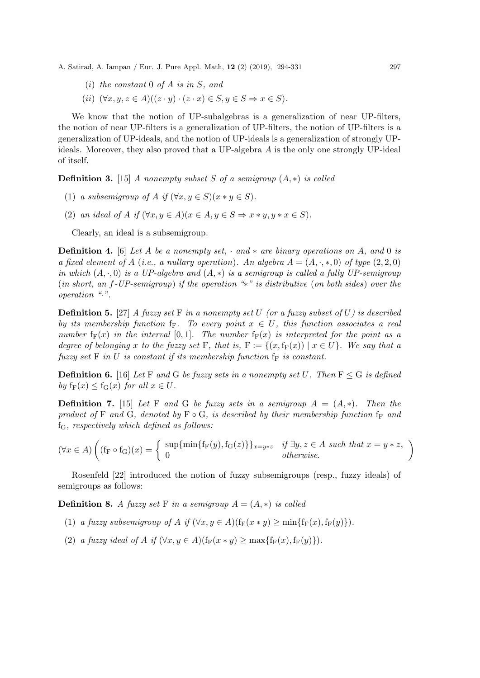- (i) the constant  $0$  of  $A$  is in  $S$ , and
- (ii)  $(\forall x, y, z \in A)((z \cdot y) \cdot (z \cdot x) \in S, y \in S \Rightarrow x \in S).$

We know that the notion of UP-subalgebras is a generalization of near UP-filters, the notion of near UP-filters is a generalization of UP-filters, the notion of UP-filters is a generalization of UP-ideals, and the notion of UP-ideals is a generalization of strongly UPideals. Moreover, they also proved that a UP-algebra A is the only one strongly UP-ideal of itself.

**Definition 3.** [15] A nonempty subset S of a semigroup  $(A, *)$  is called

- (1) a subsemigroup of A if  $(\forall x, y \in S)(x * y \in S)$ .
- (2) an ideal of A if  $(\forall x, y \in A)(x \in A, y \in S \Rightarrow x * y, y * x \in S)$ .

Clearly, an ideal is a subsemigroup.

**Definition 4.** [6] Let A be a nonempty set,  $\cdot$  and  $\ast$  are binary operations on A, and 0 is a fixed element of A (i.e., a nullary operation). An algebra  $A = (A, \cdot, \cdot, 0)$  of type  $(2, 2, 0)$ in which  $(A, \cdot, 0)$  is a UP-algebra and  $(A, *)$  is a semigroup is called a fully UP-semigroup (in short, an f-UP-semigroup) if the operation "∗" is distributive (on both sides) over the operation ".".

**Definition 5.** [27] A fuzzy set F in a nonempty set U (or a fuzzy subset of U) is described by its membership function  $f_F$ . To every point  $x \in U$ , this function associates a real number  $f_F(x)$  in the interval [0,1]. The number  $f_F(x)$  is interpreted for the point as a degree of belonging x to the fuzzy set F, that is,  $F := \{(x, f_F(x)) \mid x \in U\}$ . We say that a fuzzy set  $F$  in  $U$  is constant if its membership function  $f_F$  is constant.

**Definition 6.** [16] Let F and G be fuzzy sets in a nonempty set U. Then  $F \le G$  is defined by  $f_F(x) \le f_G(x)$  for all  $x \in U$ .

**Definition 7.** [15] Let F and G be fuzzy sets in a semigroup  $A = (A, *)$ . Then the product of F and G, denoted by  $F \circ G$ , is described by their membership function  $f_F$  and  $f_G$ , respectively which defined as follows:

$$
(\forall x \in A) \left( (\mathbf{f}_{\mathcal{F}} \circ \mathbf{f}_{\mathcal{G}})(x) = \begin{cases} \sup \{ \min \{ \mathbf{f}_{\mathcal{F}}(y), \mathbf{f}_{\mathcal{G}}(z) \} \}_{x=y*z} & \text{if } \exists y, z \in A \text{ such that } x = y*z, \\ 0 & \text{otherwise.} \end{cases} \right)
$$

Rosenfeld [22] introduced the notion of fuzzy subsemigroups (resp., fuzzy ideals) of semigroups as follows:

**Definition 8.** A fuzzy set F in a semigroup  $A = (A, *)$  is called

- (1) a fuzzy subsemigroup of A if  $(\forall x, y \in A)(f_F(x * y) > min{f_F(x), f_F(y)}).$
- (2) a fuzzy ideal of A if  $(\forall x, y \in A)(f_F(x * y) \ge \max\{f_F(x), f_F(y)\}).$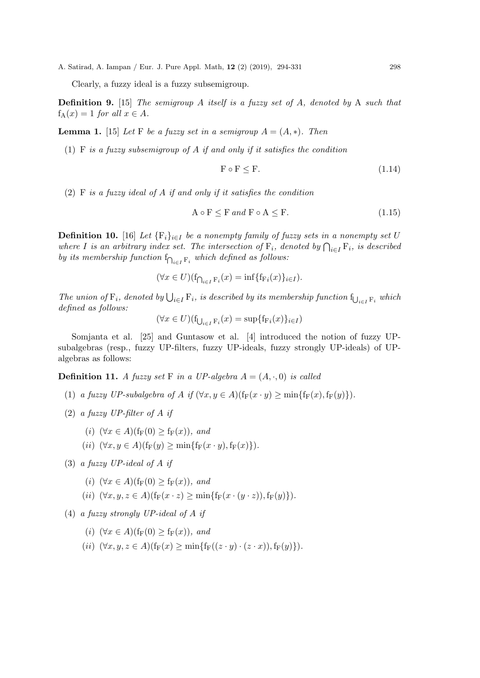Clearly, a fuzzy ideal is a fuzzy subsemigroup.

**Definition 9.** [15] The semigroup A itself is a fuzzy set of A, denoted by A such that  $f_A(x) = 1$  for all  $x \in A$ .

**Lemma 1.** [15] Let F be a fuzzy set in a semigroup  $A = (A, *)$ . Then

(1) F is a fuzzy subsemigroup of A if and only if it satisfies the condition

$$
F \circ F \le F. \tag{1.14}
$$

(2) F is a fuzzy ideal of A if and only if it satisfies the condition

$$
A \circ F \le F \text{ and } F \circ A \le F. \tag{1.15}
$$

**Definition 10.** [16] Let  $\{F_i\}_{i\in I}$  be a nonempty family of fuzzy sets in a nonempty set U where I is an arbitrary index set. The intersection of  $F_i$ , denoted by  $\bigcap_{i\in I} F_i$ , is described by its membership function  $f_{\bigcap_{i\in I} F_i}$  which defined as follows:

$$
(\forall x \in U)(f_{\bigcap_{i \in I} F_i}(x) = \inf\{f_{F_i}(x)\}_{i \in I}).
$$

The union of  $F_i$ , denoted by  $\bigcup_{i\in I} F_i$ , is described by its membership function  $f_{\bigcup_{i\in I} F_i}$  which defined as follows:

$$
(\forall x \in U)(f_{\bigcup_{i \in I} F_i}(x) = \sup \{f_{F_i}(x)\}_{i \in I})
$$

Somjanta et al. [25] and Guntasow et al. [4] introduced the notion of fuzzy UPsubalgebras (resp., fuzzy UP-filters, fuzzy UP-ideals, fuzzy strongly UP-ideals) of UPalgebras as follows:

**Definition 11.** A fuzzy set F in a UP-algebra  $A = (A, \cdot, 0)$  is called

- (1) a fuzzy UP-subalgebra of A if  $(\forall x, y \in A)(f_F(x \cdot y) > min{f_F(x), f_F(y)}).$
- (2) a fuzzy UP-filter of A if

$$
(i) \ (\forall x \in A)(f_F(0) \ge f_F(x)), \ and
$$

- (ii)  $(\forall x, y \in A)(f_F(y) > \min\{f_F(x \cdot y), f_F(x)\}).$
- (3) a fuzzy UP-ideal of A if
	- (i)  $(\forall x \in A)(f_F(0) > f_F(x))$ , and
	- (ii)  $(\forall x, y, z \in A)(f_F(x \cdot z) \ge \min\{f_F(x \cdot (y \cdot z)), f_F(y)\}).$
- (4) a fuzzy strongly UP-ideal of A if
	- (i)  $(\forall x \in A)(f_F(0) \geq f_F(x))$ , and
	- (ii)  $(\forall x, y, z \in A)(f_F(x) \ge \min\{f_F((z \cdot y) \cdot (z \cdot x)), f_F(y)\}).$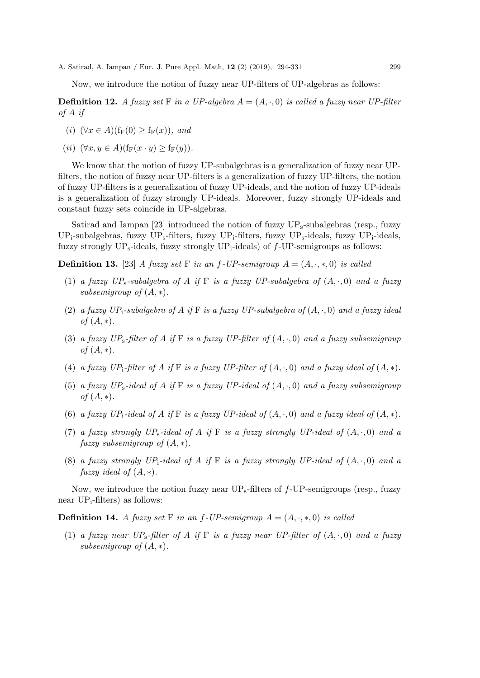Now, we introduce the notion of fuzzy near UP-filters of UP-algebras as follows:

**Definition 12.** A fuzzy set F in a UP-algebra  $A = (A, \cdot, 0)$  is called a fuzzy near UP-filter of A if

- (i)  $(\forall x \in A)(f_F(0) > f_F(x)),$  and
- (ii)  $(\forall x, y \in A)(f_F(x \cdot y) > f_F(y)).$

We know that the notion of fuzzy UP-subalgebras is a generalization of fuzzy near UPfilters, the notion of fuzzy near UP-filters is a generalization of fuzzy UP-filters, the notion of fuzzy UP-filters is a generalization of fuzzy UP-ideals, and the notion of fuzzy UP-ideals is a generalization of fuzzy strongly UP-ideals. Moreover, fuzzy strongly UP-ideals and constant fuzzy sets coincide in UP-algebras.

Satirad and Iampan [23] introduced the notion of fuzzy  $UP_s$ -subalgebras (resp., fuzzy  $UP_i$ -subalgebras, fuzzy  $UP_s$ -filters, fuzzy  $UP_i$ -filters, fuzzy  $UP_s$ -ideals, fuzzy  $UP_i$ -ideals, fuzzy strongly  $UP_s$ -ideals, fuzzy strongly  $UP_i$ -ideals) of  $f$ -UP-semigroups as follows:

**Definition 13.** [23] A fuzzy set F in an f-UP-semigroup  $A = (A, \cdot, \cdot, 0)$  is called

- (1) a fuzzy  $UP_s$ -subalgebra of A if F is a fuzzy UP-subalgebra of  $(A, \cdot, 0)$  and a fuzzy subsemigroup of  $(A, *)$ .
- (2) a fuzzy  $UP_i$ -subalgebra of A if F is a fuzzy UP-subalgebra of  $(A, \cdot, 0)$  and a fuzzy ideal of  $(A, *)$ .
- (3) a fuzzy  $UP_s$ -filter of A if F is a fuzzy UP-filter of  $(A, \cdot, 0)$  and a fuzzy subsemigroup of  $(A, *)$ .
- (4) a fuzzy  $UP_1$ -filter of A if F is a fuzzy  $UP$ -filter of  $(A, \cdot, 0)$  and a fuzzy ideal of  $(A, *)$ .
- (5) a fuzzy  $UP_s$ -ideal of A if F is a fuzzy UP-ideal of  $(A, \cdot, 0)$  and a fuzzy subsemigroup of  $(A, *)$ .
- (6) a fuzzy  $UP_1$ -ideal of A if F is a fuzzy  $UP$ -ideal of  $(A, \cdot, 0)$  and a fuzzy ideal of  $(A, *)$ .
- (7) a fuzzy strongly  $UP_s$ -ideal of A if F is a fuzzy strongly UP-ideal of  $(A, \cdot, 0)$  and a fuzzy subsemigroup of  $(A, *)$ .
- (8) a fuzzy strongly UP<sub>i</sub>-ideal of A if F is a fuzzy strongly UP-ideal of  $(A, \cdot, 0)$  and a fuzzy ideal of  $(A, *)$ .

Now, we introduce the notion fuzzy near  $UP_s$ -filters of f-UP-semigroups (resp., fuzzy near  $UP_i$ -filters) as follows:

**Definition 14.** A fuzzy set F in an f-UP-semigroup  $A = (A, \cdot, *, 0)$  is called

(1) a fuzzy near UP<sub>s</sub>-filter of A if F is a fuzzy near UP-filter of  $(A, \cdot, 0)$  and a fuzzy subsemigroup of  $(A, *)$ .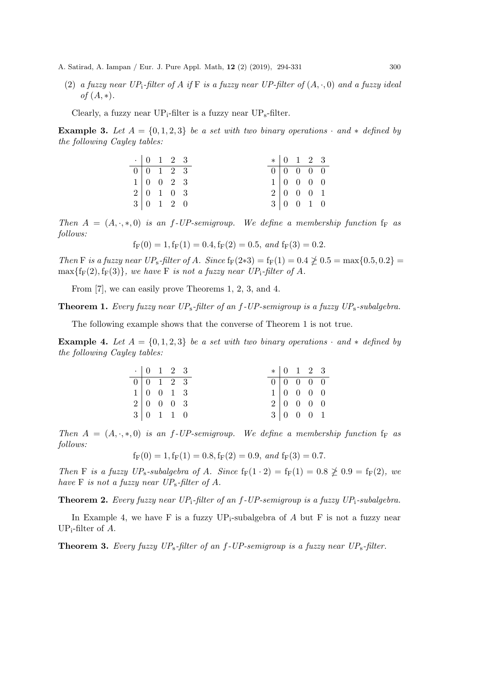(2) a fuzzy near  $UP_1$ -filter of A if F is a fuzzy near UP-filter of  $(A, \cdot, 0)$  and a fuzzy ideal of  $(A, *)$ .

Clearly, a fuzzy near  $UP_i$ -filter is a fuzzy near  $UP_s$ -filter.

Example 3. Let  $A = \{0, 1, 2, 3\}$  be a set with two binary operations  $\cdot$  and  $*$  defined by the following Cayley tables:

| $\cdot$ 0 1 2 3                                 |  |  |             | $* 0 1 2 3$                                     |  |
|-------------------------------------------------|--|--|-------------|-------------------------------------------------|--|
| $0 \ 0 \ 1 \ 2 \ 3$                             |  |  | $0$ 0 0 0 0 |                                                 |  |
| $1 \vert 0 \vert 0 \vert 2 \vert 3$             |  |  |             | $1 \vert 0 \vert 0 \vert 0 \vert 0$             |  |
| 2   0 1 0 3                                     |  |  |             | $2 \begin{bmatrix} 0 & 0 & 0 & 1 \end{bmatrix}$ |  |
| $3 \begin{bmatrix} 0 & 1 & 2 & 0 \end{bmatrix}$ |  |  |             | $3 \begin{bmatrix} 0 & 0 & 1 & 0 \end{bmatrix}$ |  |

Then  $A = (A, \cdot, * , 0)$  is an f-UP-semigroup. We define a membership function  $f_F$  as follows:

 $f_F(0) = 1, f_F(1) = 0.4, f_F(2) = 0.5, and f_F(3) = 0.2.$ 

Then F is a fuzzy near UP<sub>s</sub>-filter of A. Since  $f_F(2*3) = f_F(1) = 0.4 \ngeq 0.5 = \max\{0.5, 0.2\}$  $\max\{f_F(2), f_F(3)\}\$ , we have F is not a fuzzy near UP<sub>i</sub>-filter of A.

From [7], we can easily prove Theorems 1, 2, 3, and 4.

**Theorem 1.** Every fuzzy near  $UP_s$ -filter of an f-UP-semigroup is a fuzzy  $UP_s$ -subalgebra.

The following example shows that the converse of Theorem 1 is not true.

**Example 4.** Let  $A = \{0, 1, 2, 3\}$  be a set with two binary operations  $\cdot$  and  $*$  defined by the following Cayley tables:

| $\cdot$ 0 1 2 3                                 |  |  | $*   0 1 2 3$                                   |  |  |
|-------------------------------------------------|--|--|-------------------------------------------------|--|--|
| $0 \mid 0 \quad 1 \quad 2 \quad 3$              |  |  | $0 \mid 0 \mid 0 \mid 0 \mid 0$                 |  |  |
| $1 \vert 0 \vert 0 \vert 1 \vert 3$             |  |  | $1 \vert 0 \vert 0 \vert 0 \vert 0$             |  |  |
| $2 \begin{bmatrix} 0 & 0 & 0 & 3 \end{bmatrix}$ |  |  | $2 \begin{bmatrix} 0 & 0 & 0 & 0 \end{bmatrix}$ |  |  |
| $3 \begin{bmatrix} 0 & 1 & 1 & 0 \end{bmatrix}$ |  |  | $3 \begin{bmatrix} 0 & 0 & 0 & 1 \end{bmatrix}$ |  |  |

Then  $A = (A, \cdot, * , 0)$  is an f-UP-semigroup. We define a membership function  $f_F$  as follows:

 $f_F(0) = 1, f_F(1) = 0.8, f_F(2) = 0.9, and f_F(3) = 0.7.$ 

Then F is a fuzzy  $UP_s$ -subalgebra of A. Since  $f_F(1 \cdot 2) = f_F(1) = 0.8 \not\geq 0.9 = f_F(2)$ , we have F is not a fuzzy near  $UP_s$ -filter of A.

**Theorem 2.** Every fuzzy near  $UP_i$ -filter of an f-UP-semigroup is a fuzzy  $UP_i$ -subalgebra.

In Example 4, we have F is a fuzzy  $UP_i$ -subalgebra of A but F is not a fuzzy near UPi-filter of A.

**Theorem 3.** Every fuzzy  $UP_s$ -filter of an f-UP-semigroup is a fuzzy near  $UP_s$ -filter.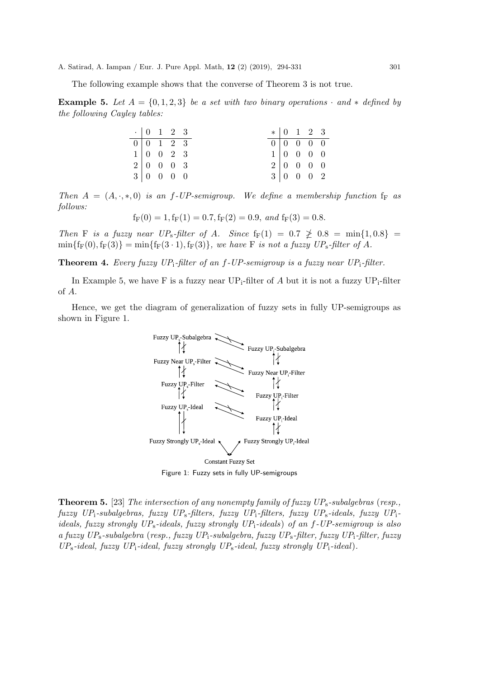The following example shows that the converse of Theorem 3 is not true.

Example 5. Let  $A = \{0, 1, 2, 3\}$  be a set with two binary operations  $\cdot$  and  $*$  defined by the following Cayley tables:

|  | $\cdot$ 0 1 2 3                                 |  |  | $*   0 1 2 3$                                   |  |
|--|-------------------------------------------------|--|--|-------------------------------------------------|--|
|  | $0 \mid 0 \quad 1 \quad 2 \quad 3$              |  |  | $0 \mid 0 \mid 0 \mid 0 \mid 0$                 |  |
|  | $1 \vert 0 \vert 0 \vert 2 \vert 3$             |  |  | $1 \vert 0 \vert 0 \vert 0 \vert 0$             |  |
|  | $2 \begin{bmatrix} 0 & 0 & 0 & 3 \end{bmatrix}$ |  |  | $2 \begin{bmatrix} 0 & 0 & 0 & 0 \end{bmatrix}$ |  |
|  | $3 \begin{bmatrix} 0 & 0 & 0 & 0 \end{bmatrix}$ |  |  | $3 \begin{bmatrix} 0 & 0 & 0 & 2 \end{bmatrix}$ |  |

Then  $A = (A, \cdot, \cdot, 0)$  is an f-UP-semigroup. We define a membership function from follows:

 $f_F(0) = 1, f_F(1) = 0.7, f_F(2) = 0.9, and f_F(3) = 0.8.$ 

Then F is a fuzzy near  $UP_s$ -filter of A. Since  $f_F(1) = 0.7 \not\geq 0.8 = \min\{1, 0.8\}$  $\min\{f_F(0), f_F(3)\} = \min\{f_F(3\cdot 1), f_F(3)\},$  we have F is not a fuzzy  $UP_s$ -filter of A.

**Theorem 4.** Every fuzzy  $UP_i$ -filter of an f-UP-semigroup is a fuzzy near  $UP_i$ -filter.

In Example 5, we have F is a fuzzy near  $UP_i$ -filter of A but it is not a fuzzy  $UP_i$ -filter of A.

Hence, we get the diagram of generalization of fuzzy sets in fully UP-semigroups as shown in Figure 1.



Figure 1: Fuzzy sets in fully UP-semigroups

**Theorem 5.** [23] The intersection of any nonempty family of fuzzy  $UP_s$ -subalgebras (resp.,  $fuzzy UP_1-subalgebras, fuzzy UP_5-filters, fuzzy UP_1-filters, fuzzy UP_2-ideals, fuzzy UP_1-I, and by UP_2-deals, fuzzy UP_1-I, respectively.$ ideals, fuzzy strongly  $UP_s$ -ideals, fuzzy strongly  $UP_i$ -ideals) of an f-UP-semigroup is also a fuzzy  $UP_s$ -subalgebra (resp., fuzzy  $UP_i$ -subalgebra, fuzzy  $UP_s$ -filter, fuzzy  $UP_i$ -filter, fuzzy  $UP_s$ -ideal, fuzzy  $UP_i$ -ideal, fuzzy strongly  $UP_s$ -ideal, fuzzy strongly  $UP_i$ -ideal).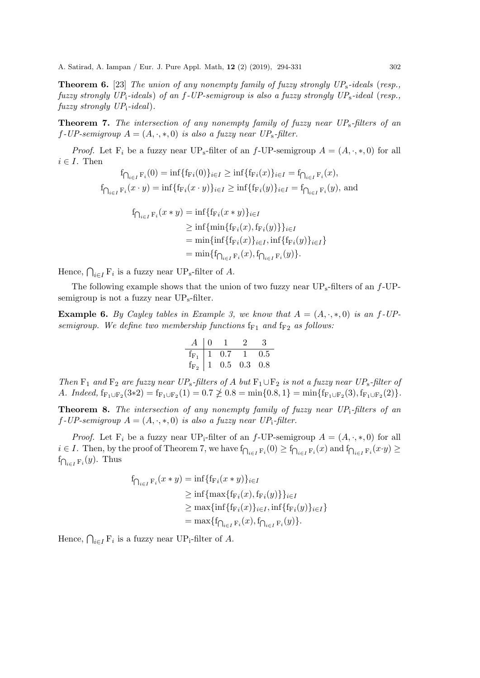**Theorem 6.** [23] The union of any nonempty family of fuzzy strongly  $UP_s$ -ideals (resp., fuzzy strongly  $UP_1$ -ideals) of an f-UP-semigroup is also a fuzzy strongly  $UP_5$ -ideal (resp., fuzzy strongly  $UP_i$ -ideal).

**Theorem 7.** The intersection of any nonempty family of fuzzy near  $UP_s$ -filters of an  $f$ -UP-semigroup  $A = (A, \cdot, * , 0)$  is also a fuzzy near UP<sub>s</sub>-filter.

*Proof.* Let F<sub>i</sub> be a fuzzy near UP<sub>s</sub>-filter of an f-UP-semigroup  $A = (A, \cdot, *, 0)$  for all  $i \in I$ . Then  $(0, 0)$   $(0, 1)$  in  $(0, 0)$ 

$$
f_{\bigcap_{i\in I} F_i}(0) = \inf\{f_{F_i}(0)\}_{i\in I} \ge \inf\{f_{F_i}(x)\}_{i\in I} = f_{\bigcap_{i\in I} F_i}(x),
$$
  

$$
f_{\bigcap_{i\in I} F_i}(x \cdot y) = \inf\{f_{F_i}(x \cdot y)\}_{i\in I} \ge \inf\{f_{F_i}(y)\}_{i\in I} = f_{\bigcap_{i\in I} F_i}(y),
$$
 and

$$
f_{\bigcap_{i\in I} F_i}(x * y) = \inf\{f_{F_i}(x * y)\}_{i\in I}
$$
  
\n
$$
\geq \inf\{\min\{f_{F_i}(x), f_{F_i}(y)\}\}_{i\in I}
$$
  
\n
$$
= \min\{\inf\{f_{F_i}(x)\}_{i\in I}, \inf\{f_{F_i}(y)\}_{i\in I}\}
$$
  
\n
$$
= \min\{f_{\bigcap_{i\in I} F_i}(x), f_{\bigcap_{i\in I} F_i}(y)\}.
$$

Hence,  $\bigcap_{i \in I} \mathcal{F}_i$  is a fuzzy near UP<sub>s</sub>-filter of A.

The following example shows that the union of two fuzzy near  $UP_s$ -filters of an  $f$ -UPsemigroup is not a fuzzy near UPs-filter.

**Example 6.** By Cayley tables in Example 3, we know that  $A = (A, \cdot, *, 0)$  is an f-UPsemigroup. We define two membership functions  $f_{F1}$  and  $f_{F2}$  as follows:

$$
\begin{array}{c|cccc}\nA & 0 & 1 & 2 & 3 \\
\hline\n\text{f}_{\text{F}_1} & 1 & 0.7 & 1 & 0.5 \\
\text{f}_{\text{F}_2} & 1 & 0.5 & 0.3 & 0.8\n\end{array}
$$

Then  $F_1$  and  $F_2$  are fuzzy near UP<sub>s</sub>-filters of A but  $F_1 \cup F_2$  is not a fuzzy near UP<sub>s</sub>-filter of A. Indeed,  $f_{F_1 \cup F_2}(3*2) = f_{F_1 \cup F_2}(1) = 0.7 \not\geq 0.8 = \min\{0.8, 1\} = \min\{f_{F_1 \cup F_2}(3), f_{F_1 \cup F_2}(2)\}.$ 

**Theorem 8.** The intersection of any nonempty family of fuzzy near  $UP_i$ -filters of an  $f$ -UP-semigroup  $A = (A, \cdot, \ast, 0)$  is also a fuzzy near UP<sub>i</sub>-filter.

*Proof.* Let F<sub>i</sub> be a fuzzy near UP<sub>i</sub>-filter of an f-UP-semigroup  $A = (A, \cdot, *, 0)$  for all  $i \in I$ . Then, by the proof of Theorem 7, we have  $f_{\bigcap_{i \in I} F_i}(0) \geq f_{\bigcap_{i \in I} F_i}(x)$  and  $f_{\bigcap_{i \in I} F_i}(x \cdot y) \geq$  $f_{\bigcap_{i\in I} F_i}(y)$ . Thus

$$
f_{\bigcap_{i \in I} F_i}(x * y) = \inf \{ f_{F_i}(x * y) \}_{i \in I}
$$
  
\n
$$
\geq \inf \{ \max \{ f_{F_i}(x), f_{F_i}(y) \} \}_{i \in I}
$$
  
\n
$$
\geq \max \{ \inf \{ f_{F_i}(x) \}_{i \in I}, \inf \{ f_{F_i}(y) \}_{i \in I} \}
$$
  
\n
$$
= \max \{ f_{\bigcap_{i \in I} F_i}(x), f_{\bigcap_{i \in I} F_i}(y) \}.
$$

Hence,  $\bigcap_{i \in I} \mathcal{F}_i$  is a fuzzy near UP<sub>i</sub>-filter of A.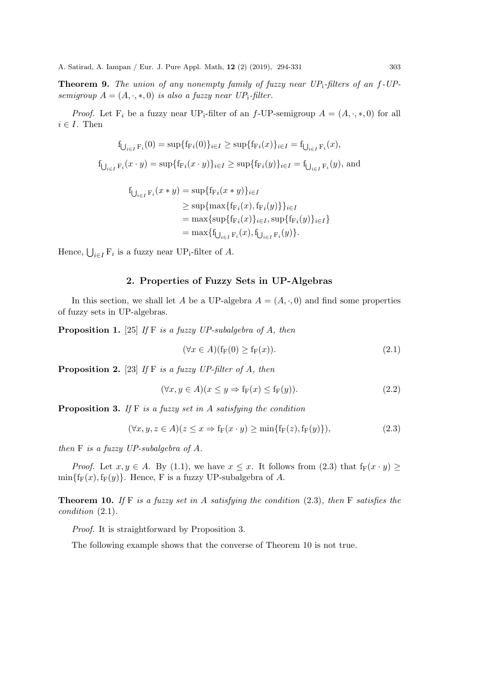**Theorem 9.** The union of any nonempty family of fuzzy near  $UP_i$ -filters of an f-UPsemigroup  $A = (A, \cdot, *, 0)$  is also a fuzzy near UP<sub>i</sub>-filter.

*Proof.* Let  $F_i$  be a fuzzy near UP<sub>i</sub>-filter of an f-UP-semigroup  $A = (A, \cdot, *, 0)$  for all  $i \in I.$  Then

$$
f_{\bigcup_{i \in I} F_i}(0) = \sup \{ f_{F_i}(0) \}_{i \in I} \ge \sup \{ f_{F_i}(x) \}_{i \in I} = f_{\bigcup_{i \in I} F_i}(x),
$$
  
\n
$$
f_{\bigcup_{i \in I} F_i}(x \cdot y) = \sup \{ f_{F_i}(x \cdot y) \}_{i \in I} \ge \sup \{ f_{F_i}(y) \}_{i \in I} = f_{\bigcup_{i \in I} F_i}(y),
$$
and  
\n
$$
f_{\bigcup_{i \in I} F_i}(x * y) = \sup \{ f_{F_i}(x * y) \}_{i \in I}
$$
  
\n
$$
\ge \sup \{ \max \{ f_{F_i}(x), f_{F_i}(y) \} \}_{i \in I}
$$
  
\n
$$
= \max \{ \sup \{ f_{F_i}(x) \}_{i \in I} \}, \sup \{ f_{F_i}(y) \}_{i \in I} \}
$$
  
\n
$$
= \max \{ f_{\bigcup_{i \in I} F_i}(x), f_{\bigcup_{i \in I} F_i}(y) \}.
$$

Hence,  $\bigcup_{i \in I} \mathbf{F}_i$  is a fuzzy near UP<sub>i</sub>-filter of A.

### 2. Properties of Fuzzy Sets in UP-Algebras

In this section, we shall let A be a UP-algebra  $A = (A, \cdot, 0)$  and find some properties of fuzzy sets in UP-algebras.

**Proposition 1.** [25] If F is a fuzzy UP-subalgebra of A, then

$$
(\forall x \in A)(f_F(0) \ge f_F(x)). \tag{2.1}
$$

**Proposition 2.** [23] If F is a fuzzy UP-filter of A, then

$$
(\forall x, y \in A)(x \le y \Rightarrow f_F(x) \le f_F(y)).
$$
\n(2.2)

**Proposition 3.** If  $F$  is a fuzzy set in A satisfying the condition

$$
(\forall x, y, z \in A)(z \le x \Rightarrow f_F(x \cdot y) \ge \min\{f_F(z), f_F(y)\}),\tag{2.3}
$$

then F is a fuzzy UP-subalgebra of A.

*Proof.* Let  $x, y \in A$ . By (1.1), we have  $x \leq x$ . It follows from (2.3) that  $f_F(x \cdot y) \geq$  $\min\{f_F(x), f_F(y)\}\$ . Hence, F is a fuzzy UP-subalgebra of A.

**Theorem 10.** If F is a fuzzy set in A satisfying the condition  $(2.3)$ , then F satisfies the condition (2.1).

Proof. It is straightforward by Proposition 3.

The following example shows that the converse of Theorem 10 is not true.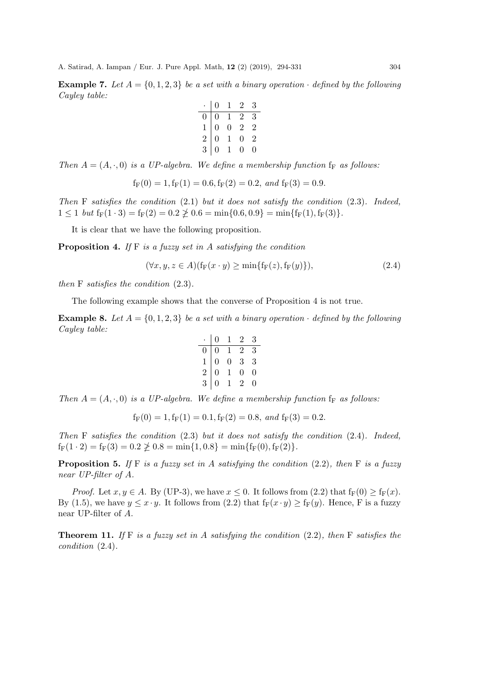**Example 7.** Let  $A = \{0, 1, 2, 3\}$  be a set with a binary operation  $\cdot$  defined by the following Cayley table:

$$
\begin{array}{c|cccc}\n\cdot & 0 & 1 & 2 & 3 \\
\hline\n0 & 0 & 1 & 2 & 3 \\
1 & 0 & 0 & 2 & 2 \\
2 & 0 & 1 & 0 & 2 \\
3 & 0 & 1 & 0 & 0\n\end{array}
$$

Then  $A = (A, \cdot, 0)$  is a UP-algebra. We define a membership function f<sub>F</sub> as follows:

$$
f_F(0) = 1, f_F(1) = 0.6, f_F(2) = 0.2, and f_F(3) = 0.9.
$$

Then F satisfies the condition  $(2.1)$  but it does not satisfy the condition  $(2.3)$ . Indeed,  $1 \leq 1$  but  $f_F(1 \cdot 3) = f_F(2) = 0.2 \not\geq 0.6 = \min\{0.6, 0.9\} = \min\{f_F(1), f_F(3)\}.$ 

It is clear that we have the following proposition.

**Proposition 4.** If  $F$  is a fuzzy set in A satisfying the condition

$$
(\forall x, y, z \in A)(f_F(x \cdot y) \ge \min\{f_F(z), f_F(y)\}),\tag{2.4}
$$

then F satisfies the condition (2.3).

The following example shows that the converse of Proposition 4 is not true.

**Example 8.** Let  $A = \{0, 1, 2, 3\}$  be a set with a binary operation  $\cdot$  defined by the following Cayley table:

$$
\begin{array}{c|cccc}\n\cdot & 0 & 1 & 2 & 3 \\
\hline\n0 & 0 & 1 & 2 & 3 \\
1 & 0 & 0 & 3 & 3 \\
2 & 0 & 1 & 0 & 0 \\
3 & 0 & 1 & 2 & 0\n\end{array}
$$

Then  $A = (A, \cdot, 0)$  is a UP-algebra. We define a membership function  $f_F$  as follows:

$$
f_F(0) = 1, f_F(1) = 0.1, f_F(2) = 0.8, and f_F(3) = 0.2.
$$

Then F satisfies the condition  $(2.3)$  but it does not satisfy the condition  $(2.4)$ . Indeed,  $f_F(1 \cdot 2) = f_F(3) = 0.2 \not\geq 0.8 = \min\{1, 0.8\} = \min\{f_F(0), f_F(2)\}.$ 

**Proposition 5.** If F is a fuzzy set in A satisfying the condition (2.2), then F is a fuzzy near UP-filter of A.

*Proof.* Let  $x, y \in A$ . By (UP-3), we have  $x \le 0$ . It follows from  $(2.2)$  that  $f_F(0) \ge f_F(x)$ . By (1.5), we have  $y \leq x \cdot y$ . It follows from (2.2) that  $f_F(x \cdot y) \geq f_F(y)$ . Hence, F is a fuzzy near UP-filter of A.

**Theorem 11.** If F is a fuzzy set in A satisfying the condition  $(2.2)$ , then F satisfies the condition (2.4).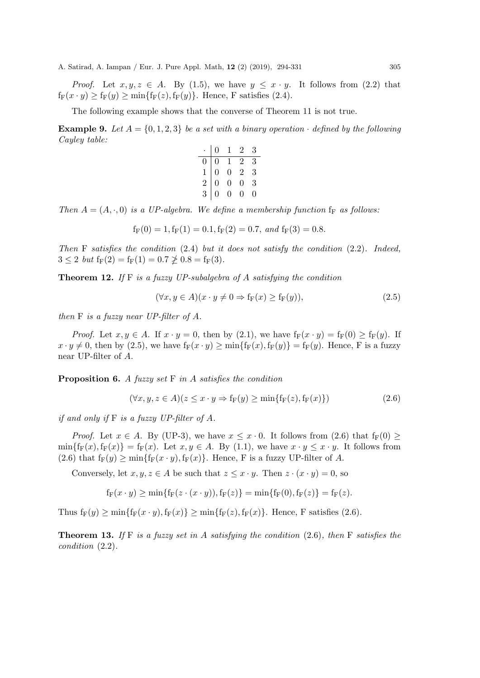*Proof.* Let  $x, y, z \in A$ . By (1.5), we have  $y \leq x \cdot y$ . It follows from (2.2) that  $f_F(x \cdot y) \ge f_F(y) \ge \min\{f_F(z), f_F(y)\}\$ . Hence, F satisfies (2.4).

The following example shows that the converse of Theorem 11 is not true.

**Example 9.** Let  $A = \{0, 1, 2, 3\}$  be a set with a binary operation  $\cdot$  defined by the following Cayley table:

|                  | $\boldsymbol{0}$                                | $\mathbf{1}$                          | $\overline{2}$ | 3 |
|------------------|-------------------------------------------------|---------------------------------------|----------------|---|
| $\boldsymbol{0}$ |                                                 |                                       | 2              | 3 |
| $\frac{1}{2}$    | $\begin{array}{c} 0 \\ 0 \\ 0 \\ 0 \end{array}$ | $\begin{array}{c} 1 \\ 0 \end{array}$ | $\sqrt{2}$     | 3 |
|                  |                                                 | $\begin{matrix}0\\0\end{matrix}$      | 0              | 3 |
|                  |                                                 |                                       | 0              | 0 |

Then  $A = (A, \cdot, 0)$  is a UP-algebra. We define a membership function  $f_F$  as follows:

$$
f_F(0) = 1, f_F(1) = 0.1, f_F(2) = 0.7, and f_F(3) = 0.8.
$$

Then  $F$  satisfies the condition  $(2.4)$  but it does not satisfy the condition  $(2.2)$ . Indeed,  $3 \leq 2$  but  $f_F(2) = f_F(1) = 0.7 \not\geq 0.8 = f_F(3)$ .

**Theorem 12.** If F is a fuzzy UP-subalgebra of A satisfying the condition

$$
(\forall x, y \in A)(x \cdot y \neq 0 \Rightarrow f_F(x) \ge f_F(y)), \tag{2.5}
$$

then F is a fuzzy near UP-filter of A.

*Proof.* Let  $x, y \in A$ . If  $x \cdot y = 0$ , then by (2.1), we have  $f_F(x \cdot y) = f_F(0) \geq f_F(y)$ . If  $x \cdot y \neq 0$ , then by (2.5), we have  $f_F(x \cdot y) \ge \min\{f_F(x), f_F(y)\} = f_F(y)$ . Hence, F is a fuzzy near UP-filter of A.

**Proposition 6.** A fuzzy set  $F$  in A satisfies the condition

$$
(\forall x, y, z \in A)(z \le x \cdot y \Rightarrow f_F(y) \ge \min\{f_F(z), f_F(x)\})
$$
\n(2.6)

if and only if  $F$  is a fuzzy UP-filter of  $A$ .

*Proof.* Let  $x \in A$ . By (UP-3), we have  $x \leq x \cdot 0$ . It follows from (2.6) that  $f_F(0) \geq$  $\min\{f_F(x), f_F(x)\} = f_F(x)$ . Let  $x, y \in A$ . By (1.1), we have  $x \cdot y \leq x \cdot y$ . It follows from (2.6) that  $f_F(y) \ge \min\{f_F(x \cdot y), f_F(x)\}\$ . Hence, F is a fuzzy UP-filter of A.

Conversely, let  $x, y, z \in A$  be such that  $z \leq x \cdot y$ . Then  $z \cdot (x \cdot y) = 0$ , so

$$
f_F(x \cdot y) \ge \min\{f_F(z \cdot (x \cdot y)), f_F(z)\} = \min\{f_F(0), f_F(z)\} = f_F(z).
$$

Thus  $f_F(y) \ge \min\{f_F(x \cdot y), f_F(x)\} \ge \min\{f_F(z), f_F(x)\}.$  Hence, F satisfies (2.6).

**Theorem 13.** If F is a fuzzy set in A satisfying the condition  $(2.6)$ , then F satisfies the condition (2.2).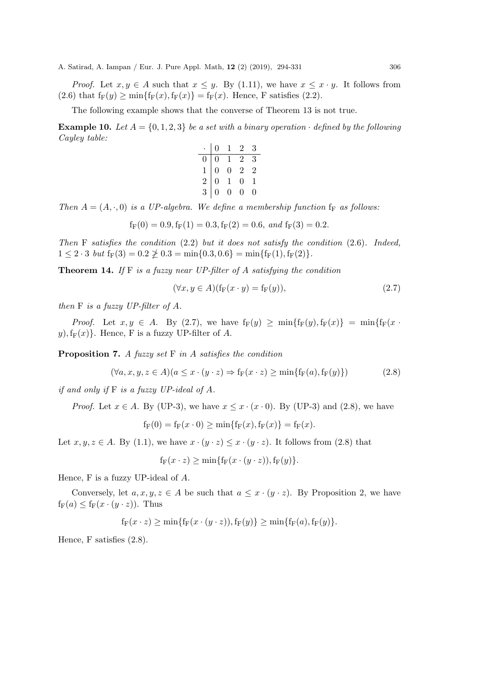*Proof.* Let  $x, y \in A$  such that  $x \leq y$ . By (1.11), we have  $x \leq x \cdot y$ . It follows from (2.6) that  $f_F(y) \ge \min\{f_F(x), f_F(x)\} = f_F(x)$ . Hence, F satisfies (2.2).

The following example shows that the converse of Theorem 13 is not true.

**Example 10.** Let  $A = \{0, 1, 2, 3\}$  be a set with a binary operation  $\cdot$  defined by the following Cayley table:

| $\overline{0}$                                                        | $\mathbf{1}$                                  | $\overline{2}$ | 3              |
|-----------------------------------------------------------------------|-----------------------------------------------|----------------|----------------|
|                                                                       |                                               | $2-$           | 3              |
| $\begin{array}{c c} 0 & 0 \ \hline 1 & 0 \ 2 & 0 \ 3 & 0 \end{array}$ | $\begin{bmatrix} 1 \ 0 \ 1 \ 0 \end{bmatrix}$ | $\overline{2}$ | $\overline{2}$ |
|                                                                       |                                               | 0              | 1              |
|                                                                       |                                               | 0              | 0              |

Then  $A = (A, \cdot, 0)$  is a UP-algebra. We define a membership function  $f_F$  as follows:

$$
f_F(0) = 0.9
$$
,  $f_F(1) = 0.3$ ,  $f_F(2) = 0.6$ , and  $f_F(3) = 0.2$ .

Then F satisfies the condition  $(2.2)$  but it does not satisfy the condition  $(2.6)$ . Indeed,  $1 \leq 2 \cdot 3$  but  $f_F(3) = 0.2 \not\geq 0.3 = \min\{0.3, 0.6\} = \min\{f_F(1), f_F(2)\}.$ 

**Theorem 14.** If F is a fuzzy near UP-filter of A satisfying the condition

$$
(\forall x, y \in A)(f_F(x \cdot y) = f_F(y)), \tag{2.7}
$$

then  $F$  is a fuzzy UP-filter of  $A$ .

*Proof.* Let  $x, y \in A$ . By (2.7), we have  $f_F(y) \ge \min\{f_F(y), f_F(x)\} = \min\{f_F(x \cdot y) \}$  $y$ ,  $f_F(x)$ . Hence, F is a fuzzy UP-filter of A.

**Proposition 7.** A fuzzy set  $F$  in A satisfies the condition

$$
(\forall a, x, y, z \in A)(a \le x \cdot (y \cdot z) \Rightarrow f_F(x \cdot z) \ge \min\{f_F(a), f_F(y)\})
$$
\n(2.8)

*if and only if*  $F$  *is a fuzzy UP-ideal of A.* 

*Proof.* Let 
$$
x \in A
$$
. By (UP-3), we have  $x \leq x \cdot (x \cdot 0)$ . By (UP-3) and (2.8), we have

$$
f_F(0) = f_F(x \cdot 0) \ge \min\{f_F(x), f_F(x)\} = f_F(x).
$$

Let  $x, y, z \in A$ . By (1.1), we have  $x \cdot (y \cdot z) \leq x \cdot (y \cdot z)$ . It follows from (2.8) that

$$
f_{\mathcal{F}}(x \cdot z) \ge \min\{f_{\mathcal{F}}(x \cdot (y \cdot z)), f_{\mathcal{F}}(y)\}.
$$

Hence, F is a fuzzy UP-ideal of A.

Conversely, let  $a, x, y, z \in A$  be such that  $a \leq x \cdot (y \cdot z)$ . By Proposition 2, we have  $f_F(a) \leq f_F(x \cdot (y \cdot z))$ . Thus

$$
f_F(x \cdot z) \ge \min\{f_F(x \cdot (y \cdot z)), f_F(y)\} \ge \min\{f_F(a), f_F(y)\}.
$$

Hence, F satisfies (2.8).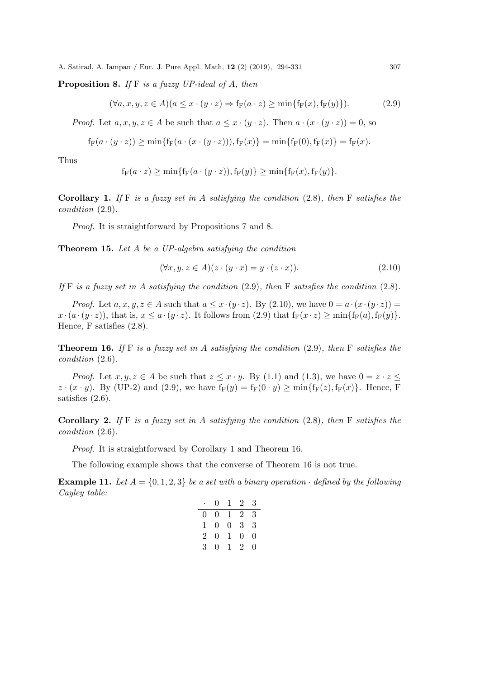**Proposition 8.** If  $F$  is a fuzzy UP-ideal of  $A$ , then

$$
(\forall a, x, y, z \in A)(a \le x \cdot (y \cdot z) \Rightarrow f_F(a \cdot z) \ge \min\{f_F(x), f_F(y)\}).
$$
\n(2.9)

*Proof.* Let  $a, x, y, z \in A$  be such that  $a \leq x \cdot (y \cdot z)$ . Then  $a \cdot (x \cdot (y \cdot z)) = 0$ , so

$$
f_F(a \cdot (y \cdot z)) \ge \min\{f_F(a \cdot (x \cdot (y \cdot z))), f_F(x)\} = \min\{f_F(0), f_F(x)\} = f_F(x).
$$

Thus

$$
f_F(a \cdot z) \ge \min\{f_F(a \cdot (y \cdot z)), f_F(y)\} \ge \min\{f_F(x), f_F(y)\}.
$$

**Corollary 1.** If F is a fuzzy set in A satisfying the condition  $(2.8)$ , then F satisfies the condition (2.9).

Proof. It is straightforward by Propositions 7 and 8.

Theorem 15. Let A be a UP-algebra satisfying the condition

$$
(\forall x, y, z \in A)(z \cdot (y \cdot x) = y \cdot (z \cdot x)). \tag{2.10}
$$

If F is a fuzzy set in A satisfying the condition  $(2.9)$ , then F satisfies the condition  $(2.8)$ .

*Proof.* Let  $a, x, y, z \in A$  such that  $a \leq x \cdot (y \cdot z)$ . By (2.10), we have  $0 = a \cdot (x \cdot (y \cdot z))$  $x \cdot (a \cdot (y \cdot z))$ , that is,  $x \le a \cdot (y \cdot z)$ . It follows from (2.9) that  $f_F(x \cdot z) \ge \min\{f_F(a), f_F(y)\}$ . Hence, F satisfies (2.8).

**Theorem 16.** If F is a fuzzy set in A satisfying the condition  $(2.9)$ , then F satisfies the condition (2.6).

*Proof.* Let  $x, y, z \in A$  be such that  $z \leq x \cdot y$ . By (1.1) and (1.3), we have  $0 = z \cdot z \leq z$  $z \cdot (x \cdot y)$ . By (UP-2) and (2.9), we have  $f_F(y) = f_F(0 \cdot y) \ge \min\{f_F(z), f_F(x)\}\.$  Hence, F satisfies (2.6).

**Corollary 2.** If F is a fuzzy set in A satisfying the condition  $(2.8)$ , then F satisfies the condition (2.6).

Proof. It is straightforward by Corollary 1 and Theorem 16.

The following example shows that the converse of Theorem 16 is not true.

**Example 11.** Let  $A = \{0, 1, 2, 3\}$  be a set with a binary operation  $\cdot$  defined by the following Cayley table:

| $\overline{0}$                                                 | $\mathbf{1}$                                              | $\overline{2}$ | $\sqrt{3}$     |
|----------------------------------------------------------------|-----------------------------------------------------------|----------------|----------------|
|                                                                |                                                           | $\overline{2}$ | $\sqrt{3}$     |
| $\begin{array}{c c} 0 & 0 \ 1 & 0 \ 2 & 0 \ 3 & 0 \end{array}$ | $\begin{array}{c}\n\boxed{1} \\ 0 \\ 1 \\ 1\n\end{array}$ | $\overline{3}$ | 3              |
|                                                                |                                                           | 0              | $\overline{0}$ |
|                                                                |                                                           | $\overline{2}$ | 0              |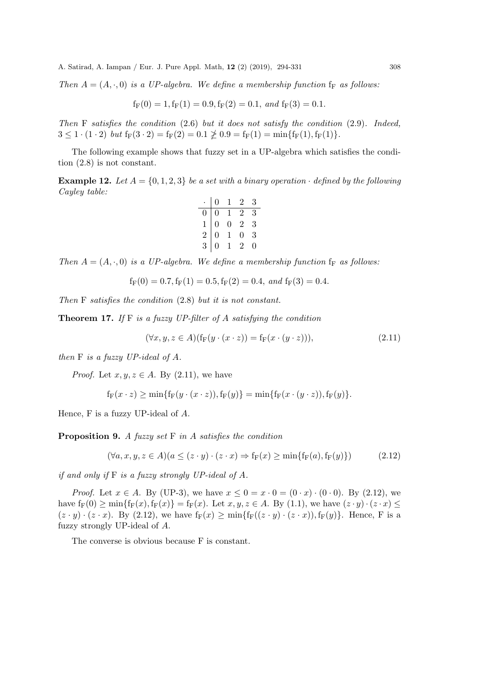Then  $A = (A, \cdot, 0)$  is a UP-algebra. We define a membership function f<sub>F</sub> as follows:

$$
f_F(0) = 1, f_F(1) = 0.9, f_F(2) = 0.1, and f_F(3) = 0.1.
$$

Then F satisfies the condition  $(2.6)$  but it does not satisfy the condition  $(2.9)$ . Indeed,  $3 \leq 1 \cdot (1 \cdot 2)$  but  $f_F(3 \cdot 2) = f_F(2) = 0.1 \not\geq 0.9 = f_F(1) = \min\{f_F(1), f_F(1)\}.$ 

The following example shows that fuzzy set in a UP-algebra which satisfies the condition (2.8) is not constant.

**Example 12.** Let  $A = \{0, 1, 2, 3\}$  be a set with a binary operation  $\cdot$  defined by the following Cayley table:

|                                             | $\overline{0}$ | $\mathbf{1}$   | $\overline{2}$ | 3 |
|---------------------------------------------|----------------|----------------|----------------|---|
| $\overline{0}$                              | $\overline{0}$ | 1              | $\overline{2}$ | 3 |
|                                             | $\overline{0}$ | $\overline{0}$ | $\overline{2}$ | 3 |
|                                             | $\overline{0}$ | 1              | 0              | 3 |
| $\begin{bmatrix} 1 \\ 2 \\ 3 \end{bmatrix}$ | $\overline{0}$ | 1              | 2              | 0 |

Then  $A = (A, \cdot, 0)$  is a UP-algebra. We define a membership function  $f_F$  as follows:

$$
f_F(0) = 0.7
$$
,  $f_F(1) = 0.5$ ,  $f_F(2) = 0.4$ , and  $f_F(3) = 0.4$ .

Then F satisfies the condition (2.8) but it is not constant.

**Theorem 17.** If  $F$  is a fuzzy UP-filter of A satisfying the condition

$$
(\forall x, y, z \in A)(f_F(y \cdot (x \cdot z)) = f_F(x \cdot (y \cdot z))), \qquad (2.11)
$$

then  $F$  is a fuzzy UP-ideal of  $A$ .

*Proof.* Let  $x, y, z \in A$ . By  $(2.11)$ , we have

$$
f_F(x \cdot z) \ge \min\{f_F(y \cdot (x \cdot z)), f_F(y)\} = \min\{f_F(x \cdot (y \cdot z)), f_F(y)\}.
$$

Hence, F is a fuzzy UP-ideal of A.

**Proposition 9.** A fuzzy set  $F$  in A satisfies the condition

$$
(\forall a, x, y, z \in A)(a \le (z \cdot y) \cdot (z \cdot x) \Rightarrow f_F(x) \ge \min\{f_F(a), f_F(y)\})
$$
\n(2.12)

if and only if  $F$  is a fuzzy strongly UP-ideal of A.

*Proof.* Let  $x \in A$ . By (UP-3), we have  $x \le 0 = x \cdot 0 = (0 \cdot x) \cdot (0 \cdot 0)$ . By (2.12), we have  $f_F(0) \ge \min\{f_F(x), f_F(x)\} = f_F(x)$ . Let  $x, y, z \in A$ . By (1.1), we have  $(z \cdot y) \cdot (z \cdot x) \le$  $(z \cdot y) \cdot (z \cdot x)$ . By (2.12), we have  $f_F(x) \ge \min\{f_F((z \cdot y) \cdot (z \cdot x)), f_F(y)\}\)$ . Hence, F is a fuzzy strongly UP-ideal of A.

The converse is obvious because F is constant.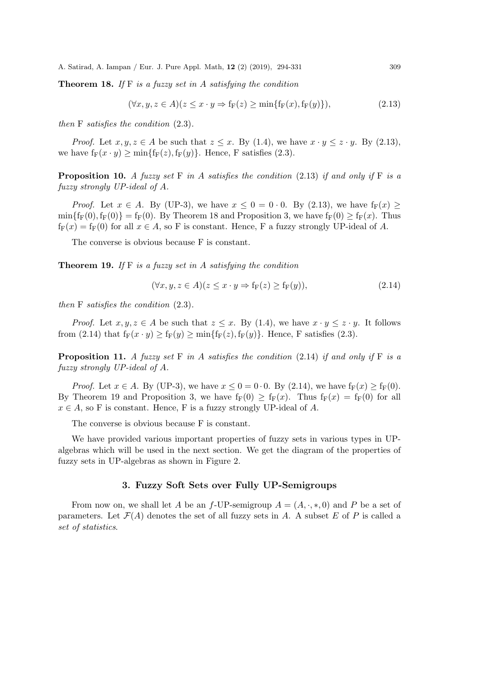**Theorem 18.** If  $F$  is a fuzzy set in A satisfying the condition

$$
(\forall x, y, z \in A)(z \le x \cdot y \Rightarrow f_F(z) \ge \min\{f_F(x), f_F(y)\}),\tag{2.13}
$$

then F satisfies the condition (2.3).

*Proof.* Let  $x, y, z \in A$  be such that  $z \leq x$ . By (1.4), we have  $x \cdot y \leq z \cdot y$ . By (2.13), we have  $f_F(x \cdot y) \ge \min\{f_F(z), f_F(y)\}\$ . Hence, F satisfies (2.3).

**Proposition 10.** A fuzzy set F in A satisfies the condition (2.13) if and only if F is a fuzzy strongly UP-ideal of A.

*Proof.* Let  $x \in A$ . By (UP-3), we have  $x \leq 0 = 0 \cdot 0$ . By (2.13), we have  $f_F(x) \geq$  $\min\{f_F(0), f_F(0)\} = f_F(0)$ . By Theorem 18 and Proposition 3, we have  $f_F(0) \ge f_F(x)$ . Thus  $f_F(x) = f_F(0)$  for all  $x \in A$ , so F is constant. Hence, F a fuzzy strongly UP-ideal of A.

The converse is obvious because F is constant.

**Theorem 19.** If  $F$  is a fuzzy set in A satisfying the condition

$$
(\forall x, y, z \in A)(z \le x \cdot y \Rightarrow f_F(z) \ge f_F(y)), \tag{2.14}
$$

then F satisfies the condition (2.3).

*Proof.* Let  $x, y, z \in A$  be such that  $z \leq x$ . By (1.4), we have  $x \cdot y \leq z \cdot y$ . It follows from (2.14) that  $f_F(x \cdot y) \geq f_F(y) \geq \min\{f_F(z), f_F(y)\}\.$  Hence, F satisfies (2.3).

**Proposition 11.** A fuzzy set F in A satisfies the condition (2.14) if and only if F is a fuzzy strongly UP-ideal of A.

*Proof.* Let  $x \in A$ . By (UP-3), we have  $x \leq 0 = 0 \cdot 0$ . By (2.14), we have  $f_F(x) \geq f_F(0)$ . By Theorem 19 and Proposition 3, we have  $f_F(0) \geq f_F(x)$ . Thus  $f_F(x) = f_F(0)$  for all  $x \in A$ , so F is constant. Hence, F is a fuzzy strongly UP-ideal of A.

The converse is obvious because F is constant.

We have provided various important properties of fuzzy sets in various types in UPalgebras which will be used in the next section. We get the diagram of the properties of fuzzy sets in UP-algebras as shown in Figure 2.

#### 3. Fuzzy Soft Sets over Fully UP-Semigroups

From now on, we shall let A be an f-UP-semigroup  $A = (A, \cdot, \cdot, 0)$  and P be a set of parameters. Let  $\mathcal{F}(A)$  denotes the set of all fuzzy sets in A. A subset E of P is called a set of statistics.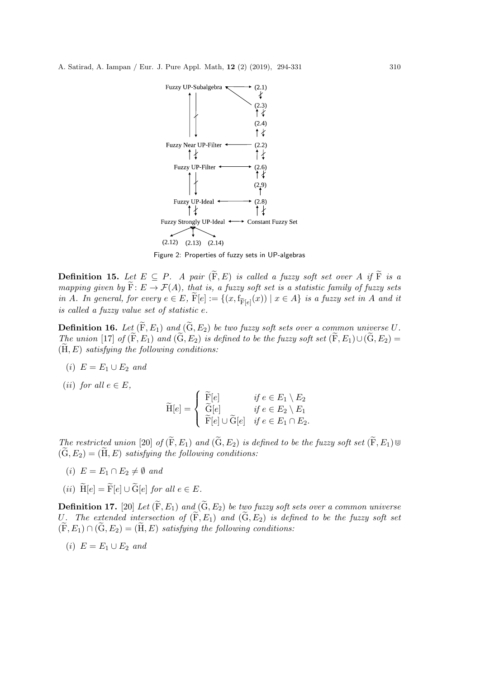

Figure 2: Properties of fuzzy sets in UP-algebras

**Definition 15.** Let  $E \subseteq P$ . A pair  $(\widetilde{F}, E)$  is called a fuzzy soft set over A if  $\widetilde{F}$  is a mapping given by  $\widetilde{F}: E \to \mathcal{F}(A)$ , that is, a fuzzy soft set is a statistic family of fuzzy sets in A. In general, for every  $e \in E$ ,  $F[e] := \{(x, f_{\widetilde{F}[e]}(x)) \mid x \in A\}$  is a fuzzy set in A and it is called a fuzzy value set of statistic e.

**Definition 16.** Let  $(\widetilde{F}, E_1)$  and  $(\widetilde{G}, E_2)$  be two fuzzy soft sets over a common universe U. The union [17] of  $(\widetilde{F}, E_1)$  and  $(\widetilde{G}, E_2)$  is defined to be the fuzzy soft set  $(\widetilde{F}, E_1) \cup (\widetilde{G}, E_2)$  $(H, E)$  satisfying the following conditions:

$$
(i) E = E_1 \cup E_2 \text{ and}
$$

(*ii*) for all  $e \in E$ ,

$$
\widetilde{H}[e] = \begin{cases}\n\widetilde{F}[e] & \text{if } e \in E_1 \setminus E_2 \\
\widetilde{G}[e] & \text{if } e \in E_2 \setminus E_1 \\
\widetilde{F}[e] \cup \widetilde{G}[e] & \text{if } e \in E_1 \cap E_2.\n\end{cases}
$$

The restricted union [20] of  $(\widetilde{F}, E_1)$  and  $(\widetilde{G}, E_2)$  is defined to be the fuzzy soft set  $(\widetilde{F}, E_1) \cup$  $(\widetilde{G}, E_2) = (\widetilde{H}, E)$  satisfying the following conditions:

- (i)  $E = E_1 \cap E_2 \neq \emptyset$  and
- (ii)  $\widetilde{H}[e] = \widetilde{F}[e] \cup \widetilde{G}[e]$  for all  $e \in E$ .

**Definition 17.** [20] Let  $(\widetilde{F}, E_1)$  and  $(\widetilde{G}, E_2)$  be two fuzzy soft sets over a common universe U. The extended intersection of  $(\widetilde{F}, E_1)$  and  $(\widetilde{G}, E_2)$  is defined to be the fuzzy soft set  $(\widetilde{F}, E_1) \cap (\widetilde{G}, E_2) = (\widetilde{H}, E)$  satisfying the following conditions:

(i)  $E = E_1 \cup E_2$  and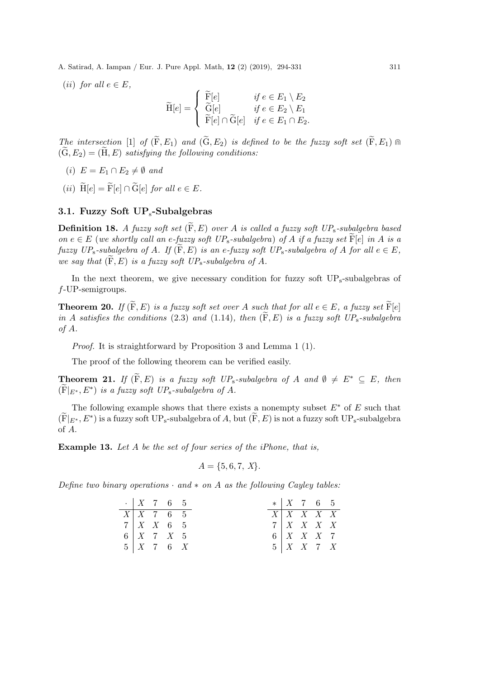(*ii*) for all  $e \in E$ .

$$
\widetilde{H}[e] = \begin{cases}\n\widetilde{F}[e] & \text{if } e \in E_1 \setminus E_2 \\
\widetilde{G}[e] & \text{if } e \in E_2 \setminus E_1 \\
\widetilde{F}[e] \cap \widetilde{G}[e] & \text{if } e \in E_1 \cap E_2.\n\end{cases}
$$

The intersection [1] of  $(\widetilde{F}, E_1)$  and  $(\widetilde{G}, E_2)$  is defined to be the fuzzy soft set  $(\widetilde{F}, E_1)$   $\cap$  $(\widetilde{G}, E_2) = (\widetilde{H}, E)$  satisfying the following conditions:

- (i)  $E = E_1 \cap E_2 \neq \emptyset$  and
- (ii)  $\widetilde{H}[e] = \widetilde{F}[e] \cap \widetilde{G}[e]$  for all  $e \in E$ .

### 3.1. Fuzzy Soft UPs-Subalgebras

**Definition 18.** A fuzzy soft set  $(\widetilde{F}, E)$  over A is called a fuzzy soft  $UP_s$ -subalgebra based on  $e \in E$  (we shortly call an e-fuzzy soft UP<sub>s</sub>-subalgebra) of A if a fuzzy set  $\overline{F}[e]$  in A is a fuzzy  $UP_s$ -subalgebra of A. If  $(F, E)$  is an e-fuzzy soft  $UP_s$ -subalgebra of A for all  $e \in E$ , we say that  $(\widetilde{F}, E)$  is a fuzzy soft UP<sub>s</sub>-subalgebra of A.

In the next theorem, we give necessary condition for fuzzy soft  $UP_s$ -subalgebras of f-UP-semigroups.

**Theorem 20.** If  $(\widetilde{F}, E)$  is a fuzzy soft set over A such that for all  $e \in E$ , a fuzzy set  $\widetilde{F}[e]$ in A satisfies the conditions (2.3) and (1.14), then  $(F, E)$  is a fuzzy soft UP<sub>s</sub>-subalgebra of A.

Proof. It is straightforward by Proposition 3 and Lemma 1 (1).

The proof of the following theorem can be verified easily.

**Theorem 21.** If  $(\widetilde{F}, E)$  is a fuzzy soft  $UP_s$ -subalgebra of A and  $\emptyset \neq E^* \subseteq E$ , then  $(\widetilde{F}|_{E^*}, E^*)$  is a fuzzy soft UP<sub>s</sub>-subalgebra of A.

The following example shows that there exists a nonempty subset  $E^*$  of E such that  $(\widetilde{F}|_{E^*}, E^*)$  is a fuzzy soft UP<sub>s</sub>-subalgebra of A, but  $(\widetilde{F}, E)$  is not a fuzzy soft UP<sub>s</sub>-subalgebra of A.

Example 13. Let A be the set of four series of the iPhone, that is,

$$
A = \{5, 6, 7, X\}.
$$

Define two binary operations  $\cdot$  and  $*$  on A as the following Cayley tables:

| $\cdot$   X 7 6 5               |  |  |  | $*$ $X$ 7 6 5                   |  |
|---------------------------------|--|--|--|---------------------------------|--|
| $X \mid X$ 7 6 5                |  |  |  | $X \perp X \perp X \perp X$     |  |
| $7 \mid X \times X = 6 \mid 5$  |  |  |  | $7$   X X X X                   |  |
| $6 \mid X \mid 7 \mid X \mid 5$ |  |  |  | $6 \mid X \times X \times 7$    |  |
| $5 \mid X \mid 7 \mid 6 \mid X$ |  |  |  | $5 \mid X \mid X \mid 7 \mid X$ |  |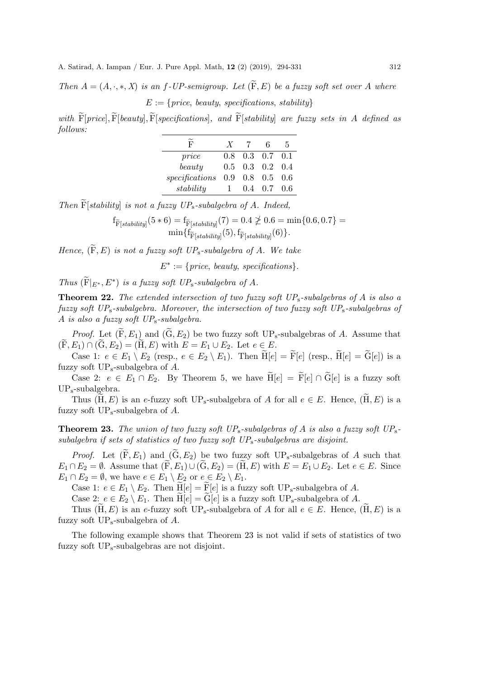Then  $A = (A, \cdot, \cdot, X)$  is an f-UP-semigroup. Let  $(\widetilde{F}, E)$  be a fuzzy soft set over A where  $E := \{price, \; beauty, \; specifications, \; stability\}$ 

with  $\widetilde{F}[price], \widetilde{F}[beauty], \widetilde{F}[specifications],$  and  $\widetilde{F}[stability]$  are fuzzy sets in A defined as follows:

| $\widetilde{\text{F}}$ | $\boldsymbol{X}$ |                         | 6.              | 5   |
|------------------------|------------------|-------------------------|-----------------|-----|
| price                  |                  | $0.8$ $0.3$ $0.7$ $0.1$ |                 |     |
| beauty                 |                  | $0.5$ $0.3$ $0.2$ $0.4$ |                 |     |
| specifications         |                  | $0.9$ 0.8 0.5 0.6       |                 |     |
| stability              | $\mathbf{L}$     |                         | $0.4 \quad 0.7$ | 0.6 |

Then  $\widetilde{\mathrm{F}}$  [stability] is not a fuzzy  $UP_s$ -subalgebra of A. Indeed,

 $f_{\widetilde{F}[stability]}(5 * 6) = f_{\widetilde{F}[stability]}(7) = 0.4 \ngeq 0.6 = \min\{0.6, 0.7\} =$  $\min\{f_{\widetilde{\mathrm{F}}[stability]}(5),f_{\widetilde{\mathrm{F}}[stability]}(6)\}.$ 

Hence,  $(\widetilde{F}, E)$  is not a fuzzy soft UP<sub>s</sub>-subalgebra of A. We take

 $E^* := \{price, \; beauty, \; specifications\}.$ 

Thus  $(\widetilde{F}|_{E^*}, E^*)$  is a fuzzy soft  $UP_s$ -subalgebra of A.

**Theorem 22.** The extended intersection of two fuzzy soft  $UP_s$ -subalgebras of A is also a fuzzy soft  $UP_s$ -subalgebra. Moreover, the intersection of two fuzzy soft  $UP_s$ -subalgebras of A is also a fuzzy soft  $UP_s$ -subalgebra.

*Proof.* Let  $(\widetilde{F}, E_1)$  and  $(\widetilde{G}, E_2)$  be two fuzzy soft UP<sub>s</sub>-subalgebras of A. Assume that  $(\widetilde{F}, E_1) \cap (\widetilde{G}, E_2) = (\widetilde{H}, E)$  with  $E = E_1 \cup E_2$ . Let  $e \in E$ .

Case 1:  $e \in E_1 \setminus E_2$  (resp.,  $e \in E_2 \setminus E_1$ ). Then  $\widetilde{H}[e] = \widetilde{F}[e]$  (resp.,  $\widetilde{H}[e] = \widetilde{G}[e]$ ) is a fuzzy soft  $UP_s$ -subalgebra of A.

Case 2:  $e \in E_1 \cap E_2$ . By Theorem 5, we have  $\widetilde{H}[e] = \widetilde{F}[e] \cap \widetilde{G}[e]$  is a fuzzy soft UPs-subalgebra.

Thus  $(H, E)$  is an e-fuzzy soft UP<sub>s</sub>-subalgebra of A for all  $e \in E$ . Hence,  $(H, E)$  is a fuzzy soft  $UP_s$ -subalgebra of A.

**Theorem 23.** The union of two fuzzy soft  $UP_s$ -subalgebras of A is also a fuzzy soft  $UP_s$ subalgebra if sets of statistics of two fuzzy soft  $UP_s$ -subalgebras are disjoint.

*Proof.* Let  $(\widetilde{F}, E_1)$  and  $(\widetilde{G}, E_2)$  be two fuzzy soft UP<sub>s</sub>-subalgebras of A such that  $E_1 \cap E_2 = \emptyset$ . Assume that  $(\tilde{F}, E_1) \cup (\tilde{G}, E_2) = (\tilde{H}, E)$  with  $E = E_1 \cup E_2$ . Let  $e \in E$ . Since  $E_1 \cap E_2 = \emptyset$ , we have  $e \in E_1 \setminus E_2$  or  $e \in E_2 \setminus E_1$ .

Case 1:  $e \in E_1 \setminus E_2$ . Then  $H[e] = F[e]$  is a fuzzy soft UP<sub>s</sub>-subalgebra of A.

Case 2:  $e \in E_2 \setminus E_1$ . Then  $H[e] = G[e]$  is a fuzzy soft UP<sub>s</sub>-subalgebra of A.

Thus  $(H, E)$  is an e-fuzzy soft UP<sub>s</sub>-subalgebra of A for all  $e \in E$ . Hence,  $(H, E)$  is a fuzzy soft UP<sub>s</sub>-subalgebra of  $A$ .

The following example shows that Theorem 23 is not valid if sets of statistics of two fuzzy soft UPs-subalgebras are not disjoint.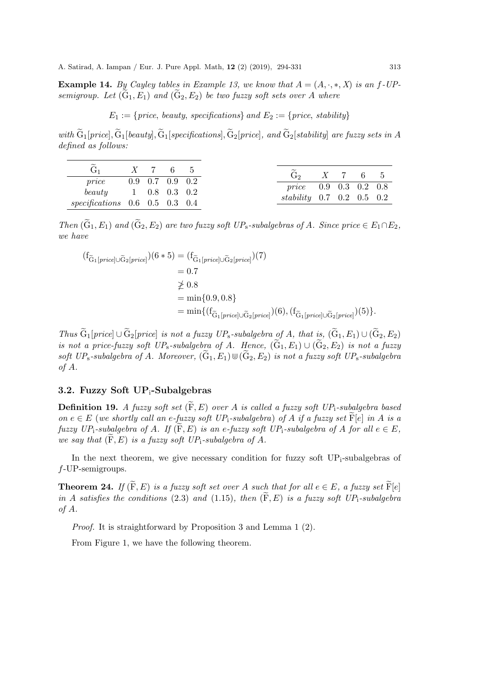**Example 14.** By Cayley tables in Example 13, we know that  $A = (A, \cdot, \cdot, X)$  is an f-UPsemigroup. Let  $(\tilde{G}_1, E_1)$  and  $(\tilde{G}_2, E_2)$  be two fuzzy soft sets over A where

 $E_1 := \{price, \; beauty, \; specifications\}$  and  $E_2 := \{price, \; stability\}$ 

with  $\widetilde{G}_1[pricel, \widetilde{G}_1[beautyl, \widetilde{G}_1[specifications], \widetilde{G}_2[pricel, and \widetilde{G}_2[stability] are fuzzy sets in A]$ defined as follows:

| $\rm G_1$                        |                      | $X$ 7 6 5         |  |
|----------------------------------|----------------------|-------------------|--|
| price                            |                      | $0.9$ 0.7 0.9 0.2 |  |
|                                  | beauty 1 0.8 0.3 0.2 |                   |  |
| $specifications$ 0.6 0.5 0.3 0.4 |                      |                   |  |

Then  $(\widetilde{G}_1, E_1)$  and  $(\widetilde{G}_2, E_2)$  are two fuzzy soft UP<sub>s</sub>-subalgebras of A. Since price  $\in E_1 \cap E_2$ , we have

$$
(f_{\tilde{G}_1[pricel] \cup \tilde{G}_2[pricel}) (6 * 5) = (f_{\tilde{G}_1[pricel] \cup \tilde{G}_2[pricel}) (7)
$$
  
= 0.7  

$$
\geq 0.8
$$
  
= min{0.9, 0.8}  
= min{ (f\_{\tilde{G}\_1[pricel] \cup \tilde{G}\_2[pricel}) (6), (f\_{\tilde{G}\_1[pricel] \cup \tilde{G}\_2[pricel}) (5) }

Thus  $\widetilde{G}_1[price] \cup \widetilde{G}_2[price]$  is not a fuzzy  $UP_s$ -subalgebra of A, that is,  $(\widetilde{G}_1, E_1) \cup (\widetilde{G}_2, E_2)$ is not a price-fuzzy soft UP<sub>s</sub>-subalgebra of A. Hence,  $(\widetilde{G}_1, E_1) \cup (\widetilde{G}_2, E_2)$  is not a fuzzy soft UP<sub>s</sub>-subalgebra of A. Moreover,  $(\tilde{G}_1, E_1) \cup (\tilde{G}_2, E_2)$  is not a fuzzy soft UP<sub>s</sub>-subalgebra of A.

#### 3.2. Fuzzy Soft  $UP_i$ -Subalgebras

**Definition 19.** A fuzzy soft set  $(\widetilde{F}, E)$  over A is called a fuzzy soft UP<sub>i</sub>-subalgebra based on  $e \in E$  (we shortly call an e-fuzzy soft UP<sub>i</sub>-subalgebra) of A if a fuzzy set  $\overline{F}[e]$  in A is a fuzzy UP<sub>i</sub>-subalgebra of A. If  $(\widetilde{F}, E)$  is an e-fuzzy soft UP<sub>i</sub>-subalgebra of A for all  $e \in E$ , we say that  $(F, E)$  is a fuzzy soft UP<sub>i</sub>-subalgebra of A.

In the next theorem, we give necessary condition for fuzzy soft  $UP_i$ -subalgebras of f-UP-semigroups.

**Theorem 24.** If  $(\widetilde{F}, E)$  is a fuzzy soft set over A such that for all  $e \in E$ , a fuzzy set  $\widetilde{F}[e]$ in A satisfies the conditions (2.3) and (1.15), then  $(F, E)$  is a fuzzy soft UP<sub>i</sub>-subalgebra of A.

Proof. It is straightforward by Proposition 3 and Lemma 1 (2).

From Figure 1, we have the following theorem.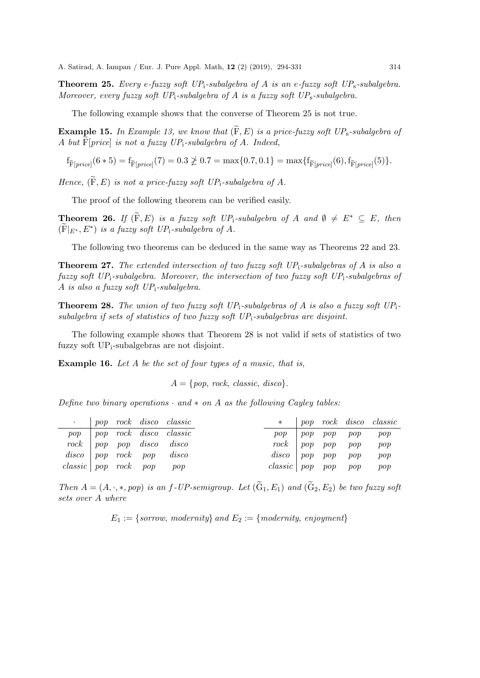**Theorem 25.** Every e-fuzzy soft UP<sub>i</sub>-subalgebra of A is an e-fuzzy soft UP<sub>s</sub>-subalgebra. Moreover, every fuzzy soft  $UP_i$ -subalgebra of A is a fuzzy soft  $UP_s$ -subalgebra.

The following example shows that the converse of Theorem 25 is not true.

**Example 15.** In Example 13, we know that  $(\widetilde{F}, E)$  is a price-fuzzy soft  $UP_s$ -subalgebra of A but  $\tilde{\mathrm{F}}[price]$  is not a fuzzy  $UP_i$ -subalgebra of A. Indeed,

$$
f_{\widetilde{F}[price]}(6*5) = f_{\widetilde{F}[price]}(7) = 0.3 \ngeq 0.7 = \max\{0.7, 0.1\} = \max\{f_{\widetilde{F}[price]}(6), f_{\widetilde{F}[price]}(5)\}.
$$

Hence,  $(\widetilde{F}, E)$  is not a price-fuzzy soft UP<sub>i</sub>-subalgebra of A.

The proof of the following theorem can be verified easily.

**Theorem 26.** If  $(F, E)$  is a fuzzy soft UP<sub>i</sub>-subalgebra of A and  $\emptyset \neq E^* \subseteq E$ , then  $(\widetilde{F}|_{E^*}, E^*)$  is a fuzzy soft UP<sub>i</sub>-subalgebra of A.

The following two theorems can be deduced in the same way as Theorems 22 and 23.

**Theorem 27.** The extended intersection of two fuzzy soft  $UP_1$ -subalgebras of A is also a fuzzy soft UP<sub>i</sub>-subalgebra. Moreover, the intersection of two fuzzy soft UP<sub>i</sub>-subalgebras of A is also a fuzzy soft  $UP_i$ -subalgebra.

**Theorem 28.** The union of two fuzzy soft  $UP_1$ -subalgebras of A is also a fuzzy soft  $UP_1$ subalgebra if sets of statistics of two fuzzy soft  $UP_i$ -subalgebras are disjoint.

The following example shows that Theorem 28 is not valid if sets of statistics of two fuzzy soft  $UP_i$ -subalgebras are not disjoint.

Example 16. Let A be the set of four types of a music, that is,

 $A = \{pop, rock, classic, disco\}.$ 

Define two binary operations  $\cdot$  and  $*$  on A as the following Cayley tables:

| <b>All Control</b>         |  | pop rock disco classic                                    | $\ast$                            |             |     | pop rock disco classic |
|----------------------------|--|-----------------------------------------------------------|-----------------------------------|-------------|-----|------------------------|
| pop                        |  | $\Box$ pop rock disco classic                             | pop                               | $pop$ $pop$ | pop | pop                    |
| rock                       |  | $\begin{vmatrix} pop & pop & disco & disco \end{vmatrix}$ | $rock \mid pop \quad pop$         |             | pop | pop                    |
|                            |  | $disco$   pop rock pop disco                              | $disco$   $pop$   $pop$           |             | pop | pop                    |
| classic   pop rock pop pop |  |                                                           | classic   pop pop pop pop pop pop |             |     |                        |

Then  $A = (A, \cdot, *, pop)$  is an f-UP-semigroup. Let  $(\widetilde{G}_1, E_1)$  and  $(\widetilde{G}_2, E_2)$  be two fuzzy soft sets over A where

 $E_1 := \{sorrow, \, modernity\}$  and  $E_2 := \{modernity, \, enjoyment\}$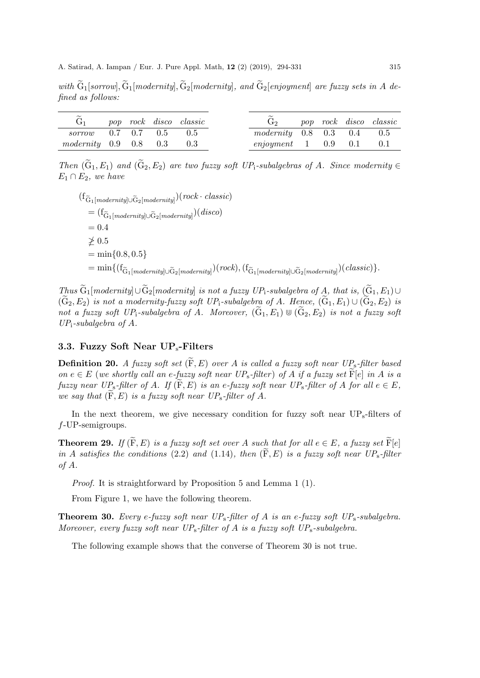with  $\widetilde{G}_1$ [sorrow],  $\widetilde{G}_1$ [modernity],  $\widetilde{G}_2$ [modernity], and  $\widetilde{G}_2$ [enjoyment] are fuzzy sets in A defined as follows:

| $\sim$<br>G <sub>1</sub>          |  | pop rock disco classic | $\sim$<br>$G_2$         |  | pop rock disco classic |
|-----------------------------------|--|------------------------|-------------------------|--|------------------------|
| sorrow $0.7 \t 0.7 \t 0.5 \t 0.5$ |  |                        | $modernity$ 0.8 0.3 0.4 |  | 0.5                    |
| $modernity$ 0.9 0.8 0.3           |  | 0.3                    | enjoyment $1$ 0.9 0.1   |  | 0.1                    |

Then  $(\widetilde{G}_1, E_1)$  and  $(\widetilde{G}_2, E_2)$  are two fuzzy soft  $UP_1$ -subalgebras of A. Since modernity  $\in$  $E_1 \cap E_2$ , we have

 $(f_{\widetilde{\mathrm{G}}_1[\textit{modernity}]\cup \widetilde{\mathrm{G}}_2[\textit{modernity}]}) (\textit{rock} \cdot \textit{classic})$  $= (f_{\widetilde{\mathrm{G}}_1[\text{modernity}]\cup \widetilde{\mathrm{G}}_2[\text{modernity}]})(disco)$  $= 0.4$  $\not\geq 0.5$  $=$  min $\{0.8, 0.5\}$  $=\min\{(\mathrm{f}_{\widetilde{\mathrm{G}}_1[\text{modernity}]\cup \widetilde{\mathrm{G}}_2[\text{modernity}]})(\text{rock}),(\mathrm{f}_{\widetilde{\mathrm{G}}_1[\text{modernity}]\cup \widetilde{\mathrm{G}}_2[\text{modernity}]})(\text{classic})\}.$ 

Thus  $\widetilde{G}_1$ [modernity]∪ $\widetilde{G}_2$ [modernity] is not a fuzzy UP<sub>i</sub>-subalgebra of A, that is,  $(\widetilde{G}_1, E_1)$ ∪  $(\widetilde{G}_2, E_2)$  is not a modernity-fuzzy soft UP<sub>i</sub>-subalgebra of A. Hence,  $(\widetilde{G}_1, E_1) \cup (\widetilde{G}_2, E_2)$  is not a fuzzy soft UP<sub>i</sub>-subalgebra of A. Moreover,  $(\widetilde{G}_1, E_1) \cup (\widetilde{G}_2, E_2)$  is not a fuzzy soft  $UP_i$ -subalgebra of  $A$ .

### 3.3. Fuzzy Soft Near UPs-Filters

**Definition 20.** A fuzzy soft set  $(\widetilde{F}, E)$  over A is called a fuzzy soft near  $UP_s$ -filter based on  $e \in E$  (we shortly call an e-fuzzy soft near UP<sub>s</sub>-filter) of A if a fuzzy set  $\widetilde{F}[e]$  in A is a fuzzy near UP<sub>s</sub>-filter of A. If  $(F, E)$  is an e-fuzzy soft near UP<sub>s</sub>-filter of A for all  $e \in E$ , we say that  $(F, E)$  is a fuzzy soft near  $UP_s$ -filter of A.

In the next theorem, we give necessary condition for fuzzy soft near  $UP_s$ -filters of f-UP-semigroups.

**Theorem 29.** If  $(\widetilde{F}, E)$  is a fuzzy soft set over A such that for all  $e \in E$ , a fuzzy set  $\widetilde{F}[e]$ in A satisfies the conditions (2.2) and (1.14), then  $(F, E)$  is a fuzzy soft near UP<sub>s</sub>-filter of A.

Proof. It is straightforward by Proposition 5 and Lemma 1 (1).

From Figure 1, we have the following theorem.

**Theorem 30.** Every e-fuzzy soft near  $UP_s$ -filter of A is an e-fuzzy soft  $UP_s$ -subalgebra. Moreover, every fuzzy soft near  $UP_s$ -filter of A is a fuzzy soft  $UP_s$ -subalgebra.

The following example shows that the converse of Theorem 30 is not true.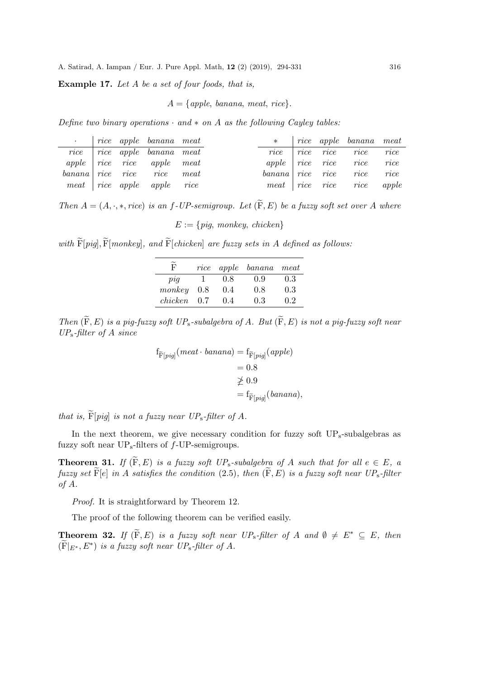Example 17. Let A be a set of four foods, that is,

$$
A = \{apple, banana, meat, rice\}.
$$

Define two binary operations  $\cdot$  and  $*$  on A as the following Cayley tables:

|  | $\cdot$   rice apple banana meat                    |  |  | $\star$   rice apple banana meat                                             |       |
|--|-----------------------------------------------------|--|--|------------------------------------------------------------------------------|-------|
|  | rice rice apple banana meat                         |  |  | rice rice rice rice rice                                                     |       |
|  | $apple \mid rice \quad rice \quad apple \quad meat$ |  |  | apple $ $ rice rice rice                                                     | rice  |
|  | banana rice rice rice meat                          |  |  | $\mathit{banana} \mid \mathit{rice} \quad \mathit{rice} \quad \mathit{rice}$ | rice  |
|  | meat rice apple apple rice                          |  |  | $meat$   rice rice rice                                                      | apple |

Then  $A = (A, \cdot, *,$  rice) is an f-UP-semigroup. Let  $(\widetilde{F}, E)$  be a fuzzy soft set over A where

 $E := \{ \text{pig, monkey, chicken} \}$ 

with  $\widetilde{F}[pi]$ ,  $\widetilde{F}[monkey]$ , and  $\widetilde{F}[chicken]$  are fuzzy sets in A defined as follows:

| $\widetilde{F}$ |              |      | rice apple banana meat |     |
|-----------------|--------------|------|------------------------|-----|
| pi              | $\mathbf{I}$ | 0.8  | 0.9                    | 0.3 |
| monkey          | 0.8          | 0.4  | 0.8                    | 0.3 |
| chicken         | 0.7          | (14) | 0.3                    | 02  |

Then  $(\widetilde{F}, E)$  is a pig-fuzzy soft UP<sub>s</sub>-subalgebra of A. But  $(\widetilde{F}, E)$  is not a pig-fuzzy soft near UPs-filter of A since

$$
f_{\widetilde{F}[pig]}(meat \cdot banana) = f_{\widetilde{F}[pig]}(apple)
$$
  
= 0.8  

$$
\geq 0.9
$$
  
=  $f_{\widetilde{F}[pig]}(banana),$ 

that is,  $\widetilde{\mathrm{F}}[\mathit{pi}]$  is not a fuzzy near  $UP_s$ -filter of A.

In the next theorem, we give necessary condition for fuzzy soft  $UP_s$ -subalgebras as fuzzy soft near  $\text{UP}_s\text{-filters}$  of f-UP-semigroups.

**Theorem 31.** If  $(\widetilde{F}, E)$  is a fuzzy soft  $UP_s$ -subalgebra of A such that for all  $e \in E$ , a fuzzy set  $\widetilde{\mathrm{F}}[e]$  in A satisfies the condition (2.5), then  $(\widetilde{\mathrm{F}}, E)$  is a fuzzy soft near  $UP_s$ -filter of A.

Proof. It is straightforward by Theorem 12.

The proof of the following theorem can be verified easily.

**Theorem 32.** If  $(F, E)$  is a fuzzy soft near  $UP_s$ -filter of A and  $\emptyset \neq E^* \subseteq E$ , then  $(\widetilde{F}|_{E^*}, E^*)$  is a fuzzy soft near UP<sub>s</sub>-filter of A.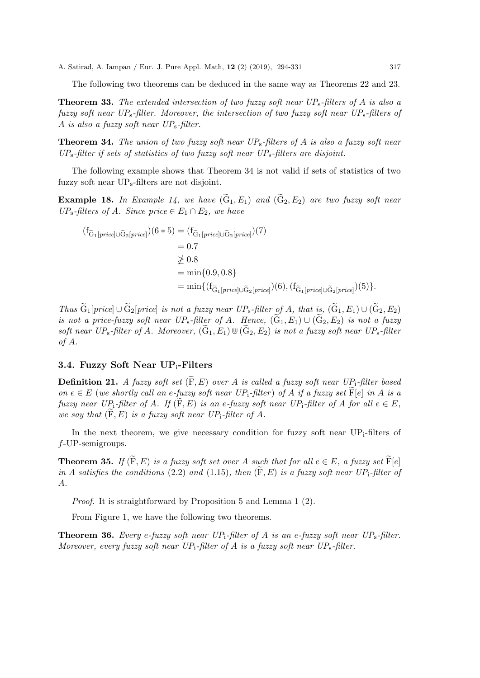The following two theorems can be deduced in the same way as Theorems 22 and 23.

**Theorem 33.** The extended intersection of two fuzzy soft near  $UP_s$ -filters of A is also a fuzzy soft near  $UP_s$ -filter. Moreover, the intersection of two fuzzy soft near  $UP_s$ -filters of A is also a fuzzy soft near  $UP_s$ -filter.

**Theorem 34.** The union of two fuzzy soft near  $UP_s$ -filters of A is also a fuzzy soft near  $UP_s$ -filter if sets of statistics of two fuzzy soft near  $UP_s$ -filters are disjoint.

The following example shows that Theorem 34 is not valid if sets of statistics of two fuzzy soft near UPs-filters are not disjoint.

**Example 18.** In Example 14, we have  $(\tilde{G}_1, E_1)$  and  $(\tilde{G}_2, E_2)$  are two fuzzy soft near  $UP_s$ -filters of A. Since price  $\in E_1 \cap E_2$ , we have

$$
(f_{\widetilde{G}_1[pricel] \cup \widetilde{G}_2[pricel})(6 * 5) = (f_{\widetilde{G}_1[pricel] \cup \widetilde{G}_2[pricel})(7)
$$
  
= 0.7  

$$
\geq 0.8
$$
  
= min{0.9, 0.8}  
= min{ (f\_{\widetilde{G}\_1[pricel] \cup \widetilde{G}\_2[pricel)}(6), (f\_{\widetilde{G}\_1[pricel] \cup \widetilde{G}\_2[pricel)}(5) ).}

Thus  $\widetilde{G}_1[price] \cup \widetilde{G}_2[price]$  is not a fuzzy near  $UP_s$ -filter of A, that is,  $(\widetilde{G}_1, E_1) \cup (\widetilde{G}_2, E_2)$ is not a price-fuzzy soft near  $UP_s$ -filter of A. Hence,  $(\widetilde{G}_1, E_1) \cup (\widetilde{G}_2, E_2)$  is not a fuzzy soft near  $UP_s$ -filter of A. Moreover,  $(\widetilde{G}_1, E_1) \cup (\widetilde{G}_2, E_2)$  is not a fuzzy soft near  $UP_s$ -filter of A.

#### 3.4. Fuzzy Soft Near  $UP_i$ -Filters

**Definition 21.** A fuzzy soft set  $(F, E)$  over A is called a fuzzy soft near UP<sub>i</sub>-filter based on  $e \in E$  (we shortly call an e-fuzzy soft near UP;-filter) of A if a fuzzy set  $\widetilde{F}[e]$  in A is a fuzzy near UP<sub>i</sub>-filter of A. If  $(F, E)$  is an e-fuzzy soft near UP<sub>i</sub>-filter of A for all  $e \in E$ , we say that  $(F, E)$  is a fuzzy soft near UP<sub>i</sub>-filter of A.

In the next theorem, we give necessary condition for fuzzy soft near  $UP_i$ -filters of f-UP-semigroups.

**Theorem 35.** If  $(\widetilde{F}, E)$  is a fuzzy soft set over A such that for all  $e \in E$ , a fuzzy set  $\widetilde{F}[e]$ in A satisfies the conditions (2.2) and (1.15), then  $(F, E)$  is a fuzzy soft near UP<sub>i</sub>-filter of A.

Proof. It is straightforward by Proposition 5 and Lemma 1 (2).

From Figure 1, we have the following two theorems.

**Theorem 36.** Every e-fuzzy soft near  $UP_1$ -filter of A is an e-fuzzy soft near  $UP_2$ -filter. Moreover, every fuzzy soft near  $UP_i$ -filter of A is a fuzzy soft near  $UP_s$ -filter.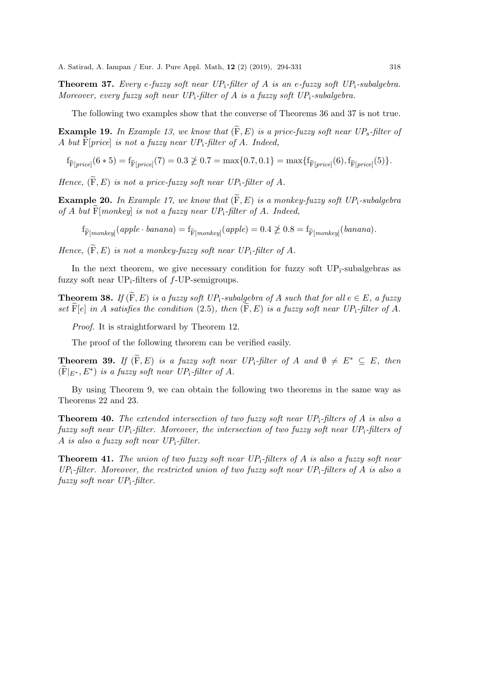**Theorem 37.** Every e-fuzzy soft near  $UP_i$ -filter of A is an e-fuzzy soft  $UP_i$ -subalgebra. Moreover, every fuzzy soft near  $UP_i$ -filter of A is a fuzzy soft  $UP_i$ -subalgebra.

The following two examples show that the converse of Theorems 36 and 37 is not true.

**Example 19.** In Example 13, we know that  $(\widetilde{F}, E)$  is a price-fuzzy soft near  $UP_s$ -filter of A but  $\tilde{\mathrm{F}}[price]$  is not a fuzzy near  $UP_i$ -filter of A. Indeed,

$$
f_{\widetilde{F}[price]}(6*5) = f_{\widetilde{F}[price]}(7) = 0.3 \ngeq 0.7 = \max\{0.7, 0.1\} = \max\{f_{\widetilde{F}[price]}(6), f_{\widetilde{F}[price]}(5)\}.
$$

Hence,  $(\widetilde{F}, E)$  is not a price-fuzzy soft near UP<sub>i</sub>-filter of A.

**Example 20.** In Example 17, we know that  $(F, E)$  is a monkey-fuzzy soft UP<sub>i</sub>-subalgebra of A but  $\widetilde{\mathbf{F}}$  monkey is not a fuzzy near UP<sub>i</sub>-filter of A. Indeed,

 $f_{\widetilde{\mathbf{F}}[monkey]}(apple \cdot banana) = f_{\widetilde{\mathbf{F}}[monkey]}(apple) = 0.4 \ngeq 0.8 = f_{\widetilde{\mathbf{F}}[monkey]}(banana).$ 

Hence,  $(\widetilde{F}, E)$  is not a monkey-fuzzy soft near UP<sub>i</sub>-filter of A.

In the next theorem, we give necessary condition for fuzzy soft  $UP_i$ -subalgebras as fuzzy soft near  $UP_i$ -filters of f-UP-semigroups.

**Theorem 38.** If  $(\widetilde{F}, E)$  is a fuzzy soft UP<sub>i</sub>-subalgebra of A such that for all  $e \in E$ , a fuzzy set  $\widetilde{F}[e]$  in A satisfies the condition (2.5), then  $(\widetilde{F}, E)$  is a fuzzy soft near UP<sub>i</sub>-filter of A.

Proof. It is straightforward by Theorem 12.

The proof of the following theorem can be verified easily.

**Theorem 39.** If  $(\widetilde{F}, E)$  is a fuzzy soft near UP<sub>i</sub>-filter of A and  $\emptyset \neq E^* \subseteq E$ , then  $(\widetilde{\mathrm{F}}|_{E^*}, E^*)$  is a fuzzy soft near  $UP_i$ -filter of A.

By using Theorem 9, we can obtain the following two theorems in the same way as Theorems 22 and 23.

**Theorem 40.** The extended intersection of two fuzzy soft near  $UP_i$ -filters of A is also a fuzzy soft near  $UP_i$ -filter. Moreover, the intersection of two fuzzy soft near  $UP_i$ -filters of A is also a fuzzy soft near  $UP_i$ -filter.

**Theorem 41.** The union of two fuzzy soft near  $UP_i$ -filters of A is also a fuzzy soft near  $UP_i$ -filter. Moreover, the restricted union of two fuzzy soft near  $UP_i$ -filters of A is also a fuzzy soft near  $UP_i$ -filter.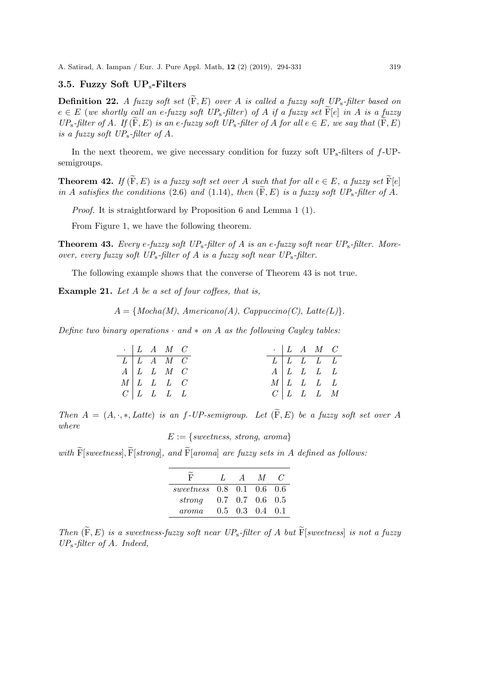# 3.5. Fuzzy Soft UPs-Filters

**Definition 22.** A fuzzy soft set  $(F, E)$  over A is called a fuzzy soft UP<sub>s</sub>-filter based on  $e \in E$  (we shortly call an e-fuzzy soft UP<sub>s</sub>-filter) of A if a fuzzy set  $\widetilde{F}[e]$  in A is a fuzzy  $UP_s$ -filter of A. If  $(F, E)$  is an e-fuzzy soft  $UP_s$ -filter of A for all  $e \in E$ , we say that  $(F, E)$ is a fuzzy soft  $UP_s$ -filter of A.

In the next theorem, we give necessary condition for fuzzy soft  $UP_s$ -filters of f-UPsemigroups.

**Theorem 42.** If  $(\widetilde{F}, E)$  is a fuzzy soft set over A such that for all  $e \in E$ , a fuzzy set  $\widetilde{F}[e]$ in A satisfies the conditions (2.6) and (1.14), then  $(F, E)$  is a fuzzy soft UP<sub>s</sub>-filter of A.

Proof. It is straightforward by Proposition 6 and Lemma 1 (1).

From Figure 1, we have the following theorem.

**Theorem 43.** Every e-fuzzy soft  $UP_s$ -filter of A is an e-fuzzy soft near  $UP_s$ -filter. Moreover, every fuzzy soft  $UP_s$ -filter of A is a fuzzy soft near  $UP_s$ -filter.

The following example shows that the converse of Theorem 43 is not true.

Example 21. Let A be a set of four coffees, that is,

 $A = \{Mocha(M), Americano(A), Cappuccino(C), Latte(L)\}.$ 

Define two binary operations  $\cdot$  and  $*$  on A as the following Cayley tables:

|  | $\cdot$   L A M C                               |  |  | $\cdot$   L A M C                               |  |
|--|-------------------------------------------------|--|--|-------------------------------------------------|--|
|  | $L \mid L \mid A \mid M \mid C$                 |  |  | $L \begin{bmatrix} L & L & L & L \end{bmatrix}$ |  |
|  | $A \perp L \perp M \perp C$                     |  |  | $A \perp L \perp L \perp L$                     |  |
|  | $M \begin{bmatrix} L & L & L & C \end{bmatrix}$ |  |  | $M \begin{bmatrix} L & L & L & L \end{bmatrix}$ |  |
|  | $C \begin{bmatrix} L & L & L & L \end{bmatrix}$ |  |  | $C \begin{bmatrix} L & L & L & M \end{bmatrix}$ |  |

Then  $A = (A, \cdot, \cdot, Latte)$  is an f-UP-semigroup. Let  $(\widetilde{F}, E)$  be a fuzzy soft set over A where

 $E := \{sweetness, strona, aroma\}$ 

with  $\widetilde{F}[sweetness], \widetilde{F}[strong], and \widetilde{F}[aromal]$  are fuzzy sets in A defined as follows:

| F                                 | Ι.      | $\overline{A}$    | M                         | $\epsilon$ |
|-----------------------------------|---------|-------------------|---------------------------|------------|
| sweetness $0.8$ $0.1$ $0.6$ $0.6$ |         |                   |                           |            |
| strong                            |         | $0.7$ 0.7 0.6 0.5 |                           |            |
| aroma                             | $0.5 -$ |                   | $0.3 \quad 0.4 \quad 0.1$ |            |

Then  $(F, E)$  is a sweetness-fuzzy soft near UP<sub>s</sub>-filter of A but  $\widetilde{F}[sweetness]$  is not a fuzzy UPs-filter of A. Indeed,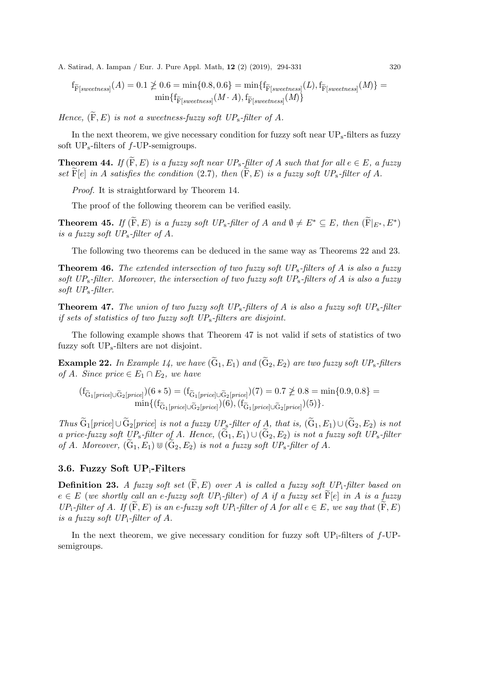$$
f_{\widetilde{F}[sweetness]}(A) = 0.1 \ngeq 0.6 = \min\{0.8, 0.6\} = \min\{f_{\widetilde{F}[sweetness]}(L), f_{\widetilde{F}[sweetness]}(M)\} = \min\{f_{\widetilde{F}[sweetness]}(M \cdot A), f_{\widetilde{F}[sweetness]}(M)\}
$$

Hence,  $(F, E)$  is not a sweetness-fuzzy soft UP<sub>s</sub>-filter of A.

In the next theorem, we give necessary condition for fuzzy soft near  $UP_s$ -filters as fuzzy soft  $UP_s$ -filters of f-UP-semigroups.

**Theorem 44.** If  $(\widetilde{F}, E)$  is a fuzzy soft near UP<sub>s</sub>-filter of A such that for all  $e \in E$ , a fuzzy set  $\widetilde{F}[e]$  in A satisfies the condition (2.7), then  $(\widetilde{F}, E)$  is a fuzzy soft UP<sub>s</sub>-filter of A.

Proof. It is straightforward by Theorem 14.

The proof of the following theorem can be verified easily.

**Theorem 45.** If  $(\widetilde{F}, E)$  is a fuzzy soft  $UP_s$ -filter of A and  $\emptyset \neq E^* \subseteq E$ , then  $(\widetilde{F}|_{E^*}, E^*)$ is a fuzzy soft  $UP_s$ -filter of A.

The following two theorems can be deduced in the same way as Theorems 22 and 23.

**Theorem 46.** The extended intersection of two fuzzy soft  $UP_s$ -filters of A is also a fuzzy soft UP<sub>s</sub>-filter. Moreover, the intersection of two fuzzy soft UP<sub>s</sub>-filters of A is also a fuzzy soft  $UP_s$ -filter.

**Theorem 47.** The union of two fuzzy soft  $UP_s$ -filters of A is also a fuzzy soft  $UP_s$ -filter if sets of statistics of two fuzzy soft  $UP_s$ -filters are disjoint.

The following example shows that Theorem 47 is not valid if sets of statistics of two fuzzy soft UPs-filters are not disjoint.

**Example 22.** In Example 14, we have  $(\widetilde{G}_1, E_1)$  and  $(\widetilde{G}_2, E_2)$  are two fuzzy soft UP<sub>s</sub>-filters of A. Since price  $\in E_1 \cap E_2$ , we have

$$
(f_{\widetilde{G}_1[\text{price}] \cup \widetilde{G}_2[\text{price}])}(6 * 5) = (f_{\widetilde{G}_1[\text{price}] \cup \widetilde{G}_2[\text{price}]})(7) = 0.7 \ngeq 0.8 = \min\{0.9, 0.8\} = \min\{(f_{\widetilde{G}_1[\text{price}] \cup \widetilde{G}_2[\text{price}]})(6), (f_{\widetilde{G}_1[\text{price}] \cup \widetilde{G}_2[\text{price}]})(5)\}.
$$

Thus  $\widetilde{G}_1[price] \cup \widetilde{G}_2[price]$  is not a fuzzy  $UP_s$ -filter of A, that is,  $(\widetilde{G}_1, E_1) \cup (\widetilde{G}_2, E_2)$  is not a price-fuzzy soft UP<sub>s</sub>-filter of A. Hence,  $(\widetilde{G}_1, E_1) \cup (\widetilde{G}_2, E_2)$  is not a fuzzy soft UP<sub>s</sub>-filter of A. Moreover,  $(\widetilde{G}_1, E_1) \cup (\widetilde{G}_2, E_2)$  is not a fuzzy soft  $UP_s$ -filter of A.

#### 3.6. Fuzzy Soft UPi-Filters

**Definition 23.** A fuzzy soft set  $(F, E)$  over A is called a fuzzy soft UP<sub>i</sub>-filter based on  $e \in E$  (we shortly call an e-fuzzy soft UP<sub>i</sub>-filter) of A if a fuzzy set  $\overline{F}[e]$  in A is a fuzzy  $UP_i$ -filter of A. If  $(\overline{F}, E)$  is an e-fuzzy soft  $UP_i$ -filter of A for all  $e \in E$ , we say that  $(\overline{F}, E)$ is a fuzzy soft  $UP_i$ -filter of A.

In the next theorem, we give necessary condition for fuzzy soft  $UP_i$ -filters of f-UPsemigroups.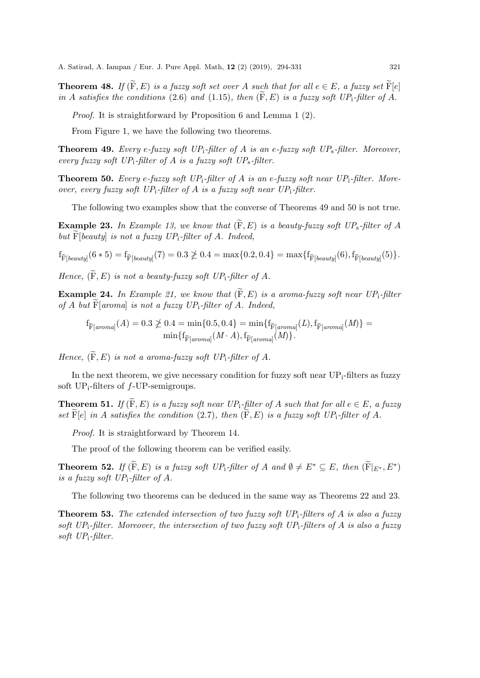**Theorem 48.** If  $(\widetilde{F}, E)$  is a fuzzy soft set over A such that for all  $e \in E$ , a fuzzy set  $\widetilde{F}[e]$ in A satisfies the conditions (2.6) and (1.15), then  $(\widetilde{F}, E)$  is a fuzzy soft UP<sub>i</sub>-filter of A.

Proof. It is straightforward by Proposition 6 and Lemma 1 (2).

From Figure 1, we have the following two theorems.

**Theorem 49.** Every e-fuzzy soft  $UP_i$ -filter of A is an e-fuzzy soft  $UP_s$ -filter. Moreover, every fuzzy soft UP<sub>i</sub>-filter of A is a fuzzy soft UP<sub>s</sub>-filter.

**Theorem 50.** Every e-fuzzy soft UP<sub>i</sub>-filter of A is an e-fuzzy soft near UP<sub>i</sub>-filter. Moreover, every fuzzy soft UP<sub>i</sub>-filter of A is a fuzzy soft near UP<sub>i</sub>-filter.

The following two examples show that the converse of Theorems 49 and 50 is not true.

**Example 23.** In Example 13, we know that  $(\widetilde{F}, E)$  is a beauty-fuzzy soft UP<sub>s</sub>-filter of A but  $\widetilde{F}[$  beauty is not a fuzzy  $UP_i$ -filter of A. Indeed,

 $f_{\widetilde{F}[beauty]}(6*5) = f_{\widetilde{F}[beauty]}(7) = 0.3 \ngeq 0.4 = \max\{0.2, 0.4\} = \max\{f_{\widetilde{F}[beauty]}(6), f_{\widetilde{F}[beauty]}(5)\}.$ 

Hence,  $(\widetilde{F}, E)$  is not a beauty-fuzzy soft UP<sub>i</sub>-filter of A.

**Example 24.** In Example 21, we know that  $(\widetilde{F}, E)$  is a aroma-fuzzy soft near UP<sub>i</sub>-filter of A but  $\widetilde{\mathrm{F}}$  aromal is not a fuzzy UP<sub>i</sub>-filter of A. Indeed,

$$
\mathbf{f}_{\widetilde{\mathbf{F}}[around]}(A) = 0.3 \ngeq 0.4 = \min\{0.5, 0.4\} = \min\{\mathbf{f}_{\widetilde{\mathbf{F}}[around]}(L), \mathbf{f}_{\widetilde{\mathbf{F}}[around]}(M)\} = \min\{\mathbf{f}_{\widetilde{\mathbf{F}}[around]}(M \cdot A), \mathbf{f}_{\widetilde{\mathbf{F}}[around]}(M)\}.
$$

Hence,  $(\widetilde{F}, E)$  is not a aroma-fuzzy soft UP<sub>i</sub>-filter of A.

In the next theorem, we give necessary condition for fuzzy soft near  $UP_i$ -filters as fuzzy soft  $UP_i$ -filters of f-UP-semigroups.

**Theorem 51.** If  $(\widetilde{F}, E)$  is a fuzzy soft near UP<sub>i</sub>-filter of A such that for all  $e \in E$ , a fuzzy set  $\widetilde{F}[e]$  in A satisfies the condition (2.7), then  $(\widetilde{F}, E)$  is a fuzzy soft UP<sub>i</sub>-filter of A.

Proof. It is straightforward by Theorem 14.

The proof of the following theorem can be verified easily.

**Theorem 52.** If  $(\widetilde{F}, E)$  is a fuzzy soft  $UP_i$ -filter of A and  $\emptyset \neq E^* \subseteq E$ , then  $(\widetilde{F}|_{E^*}, E^*)$ is a fuzzy soft  $UP_i$ -filter of A.

The following two theorems can be deduced in the same way as Theorems 22 and 23.

**Theorem 53.** The extended intersection of two fuzzy soft  $UP_i$ -filters of A is also a fuzzy soft UP<sub>i</sub>-filter. Moreover, the intersection of two fuzzy soft UP<sub>i</sub>-filters of A is also a fuzzy soft  $UP_i$ -filter.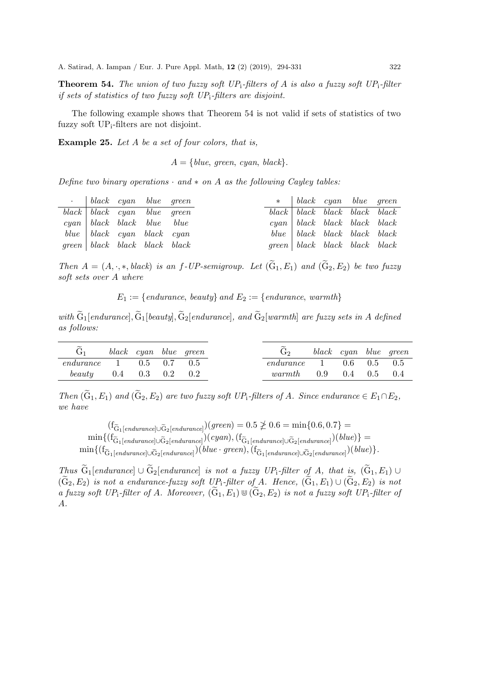**Theorem 54.** The union of two fuzzy soft UP<sub>i</sub>-filters of A is also a fuzzy soft UP<sub>i</sub>-filter if sets of statistics of two fuzzy soft  $UP_i$ -filters are disjoint.

The following example shows that Theorem 54 is not valid if sets of statistics of two fuzzy soft UP<sub>i</sub>-filters are not disjoint.

Example 25. Let A be a set of four colors, that is,

 $A = \{blue, green, cyan, black\}.$ 

Define two binary operations  $\cdot$  and  $*$  on A as the following Cayley tables:

| $\cdot$ black cyan blue green                                      |  |  | $\ast$ black cyan blue green                                       |  |  |
|--------------------------------------------------------------------|--|--|--------------------------------------------------------------------|--|--|
| $black \mid black \quad cyan \quad blue \quad green$               |  |  | $black \mid black \quad black \quad black \quad black \quad black$ |  |  |
| $cyan \mid black \quad black \quad blue \quad blue$                |  |  | $cyan \,   \, black \,$ black black black                          |  |  |
| $blue \,   \, black \, cyan \, black \, cyan$                      |  |  | blue black black black black                                       |  |  |
| $green \mid black \quad black \quad black \quad black \quad black$ |  |  | $green \mid black \quad black \quad black \quad black \quad black$ |  |  |

Then  $A = (A, \cdot, \cdot, \cdot, \text{black})$  is an f-UP-semigroup. Let  $(\widetilde{G}_1, E_1)$  and  $(\widetilde{G}_2, E_2)$  be two fuzzy soft sets over A where

 $E_1 := \{ \text{endurance, beauty} \}$  and  $E_2 := \{ \text{endurance, warmth} \}$ 

with  $\widetilde{G}_1$ [endurance],  $\widetilde{G}_1$ [beauty],  $\widetilde{G}_2$ [endurance], and  $\widetilde{G}_2$ [warmth] are fuzzy sets in A defined as follows:

| $\widetilde{\phantom{m}}$<br>G <sub>1</sub> |                         |  | black cyan blue green | $G_2$                          | black cyan blue green |  |
|---------------------------------------------|-------------------------|--|-----------------------|--------------------------------|-----------------------|--|
| <i>endurance</i> 1 0.5 0.7 0.5              |                         |  |                       | <i>endurance</i> 1 0.6 0.5 0.5 |                       |  |
| beauty                                      | $0.4$ $0.3$ $0.2$ $0.2$ |  |                       | warmth $0.9$ $0.4$ $0.5$ $0.4$ |                       |  |

Then  $(\widetilde{G}_1, E_1)$  and  $(\widetilde{G}_2, E_2)$  are two fuzzy soft UP<sub>i</sub>-filters of A. Since endurance  $\in E_1 \cap E_2$ , we have

 $(f_{\tilde{G}_1[endurance] \cup \tilde{G}_2[endurance]}) (green) = 0.5 ≠ 0.6 = min{0.6, 0.7} =$  $\min\{(\text{f}_{\widetilde{\text{G}}_1[\text{endurance}]\cup \widetilde{\text{G}}_2[\text{endurance}])(\text{Cyan}),(\text{f}_{\widetilde{\text{G}}_1[\text{endurance}]\cup \widetilde{\text{G}}_2[\text{endurance}])(\text{blue})\} =$  $\min\{(\mathrm{f}_{\widetilde{\mathrm{G}}_1[endurance]\cup \widetilde{\mathrm{G}}_2[endurance]})(blue\cdot green),(\mathrm{f}_{\widetilde{\mathrm{G}}_1[endurance]\cup \widetilde{\mathrm{G}}_2[endurance]})(blue)\}.$ 

Thus  $\widetilde{G}_1$ [endurance] ∪  $\widetilde{G}_2$ [endurance] is not a fuzzy UP<sub>i</sub>-filter of A, that is,  $(\widetilde{G}_1, E_1)$  ∪  $(\widetilde{G}_2, E_2)$  is not a endurance-fuzzy soft UP<sub>i</sub>-filter of A. Hence,  $(\widetilde{G}_1, E_1) \cup (\widetilde{G}_2, E_2)$  is not a fuzzy soft UP<sub>i</sub>-filter of A. Moreover,  $(\widetilde{G}_1, E_1) \cup (\widetilde{G}_2, E_2)$  is not a fuzzy soft UP<sub>i</sub>-filter of A.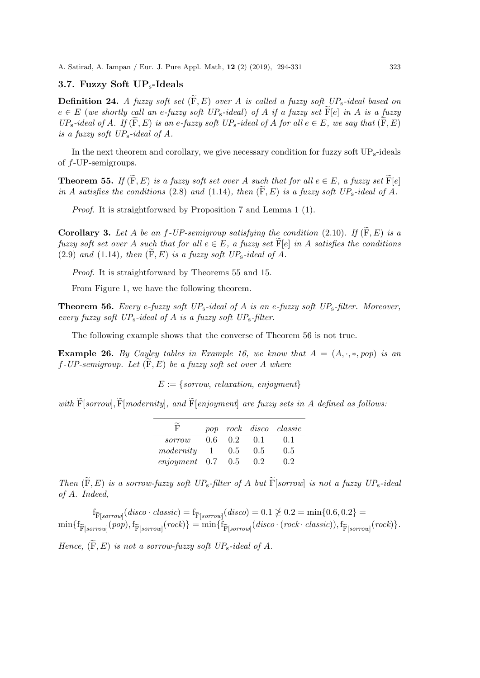# 3.7. Fuzzy Soft UP<sub>s</sub>-Ideals

**Definition 24.** A fuzzy soft set  $(F, E)$  over A is called a fuzzy soft  $UP_s$ -ideal based on  $e \in E$  (we shortly call an e-fuzzy soft UP<sub>s</sub>-ideal) of A if a fuzzy set  $\widetilde{F}[e]$  in A is a fuzzy  $UP_s$ -ideal of A. If  $(F, E)$  is an e-fuzzy soft  $UP_s$ -ideal of A for all  $e \in E$ , we say that  $(F, E)$ is a fuzzy soft  $UP_s$ -ideal of A.

In the next theorem and corollary, we give necessary condition for fuzzy soft  $UP_s$ -ideals of f-UP-semigroups.

**Theorem 55.** If  $(\widetilde{F}, E)$  is a fuzzy soft set over A such that for all  $e \in E$ , a fuzzy set  $\widetilde{F}[e]$ in A satisfies the conditions (2.8) and (1.14), then  $(\widetilde{F}, E)$  is a fuzzy soft UP<sub>s</sub>-ideal of A.

Proof. It is straightforward by Proposition 7 and Lemma 1 (1).

**Corollary 3.** Let A be an f-UP-semigroup satisfying the condition (2.10). If  $(\widetilde{F}, E)$  is a fuzzy soft set over A such that for all  $e \in E$ , a fuzzy set  $\widetilde{F}[e]$  in A satisfies the conditions (2.9) and (1.14), then  $(F, E)$  is a fuzzy soft  $UP_s$ -ideal of A.

Proof. It is straightforward by Theorems 55 and 15.

From Figure 1, we have the following theorem.

**Theorem 56.** Every e-fuzzy soft  $UP_s$ -ideal of A is an e-fuzzy soft  $UP_s$ -filter. Moreover, every fuzzy soft  $UP_s$ -ideal of A is a fuzzy soft  $UP_s$ -filter.

The following example shows that the converse of Theorem 56 is not true.

**Example 26.** By Cayley tables in Example 16, we know that  $A = (A, \cdot, \cdot, \cdot, \cdot, \cdot, \cdot)$  is an f-UP-semigroup. Let  $(F, E)$  be a fuzzy soft set over A where

 $E := \{sorrow, relaxation, enjovment\}$ 

with  $\widetilde{F}[sorrow], \widetilde{F}[modernity],$  and  $\widetilde{F}[enjoyment]$  are fuzzy sets in A defined as follows:

|                 |              |               |               | pop rock disco classic |
|-----------------|--------------|---------------|---------------|------------------------|
| sorrow          | 0.6          | $0.2^{\circ}$ | 0.1           | 0.1                    |
| modernity       | $\mathbf{1}$ | 0.5           | 0.5           | 0.5                    |
| $enjoyment$ 0.7 |              | 0.5           | $0.2^{\circ}$ | 02                     |

Then  $(\widetilde{F}, E)$  is a sorrow-fuzzy soft UP<sub>s</sub>-filter of A but  $\widetilde{F}[sorrow]$  is not a fuzzy UP<sub>s</sub>-ideal of A. Indeed,

 $f_{\widetilde{\mathbf{F}}[sorrow]}(disco \cdot classic) = f_{\widetilde{\mathbf{F}}[sorrow]}(disco) = 0.1 \ngeq 0.2 = \min\{0.6, 0.2\} =$  $\min\{ \operatorname{f}_{\widetilde{\mathrm{F}}[sorrow]}(pop),\operatorname{f}_{\widetilde{\mathrm{F}}[sorrow]}(rock)\} = \min\{ \operatorname{f}_{\widetilde{\mathrm{F}}[sorrow]}(disco \cdot (rock \cdot classic)),\operatorname{f}_{\widetilde{\mathrm{F}}[sorrow]}(rock)\}.$ Hence,  $(\widetilde{F}, E)$  is not a sorrow-fuzzy soft UP<sub>s</sub>-ideal of A.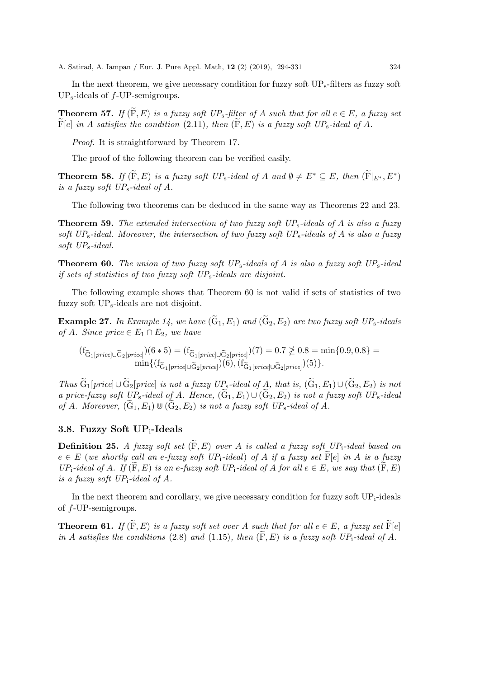In the next theorem, we give necessary condition for fuzzy soft  $UP_s$ -filters as fuzzy soft UPs-ideals of f-UP-semigroups.

**Theorem 57.** If  $(F, E)$  is a fuzzy soft UP<sub>s</sub>-filter of A such that for all  $e \in E$ , a fuzzy set  $F[e]$  in A satisfies the condition (2.11), then  $(F, E)$  is a fuzzy soft UP<sub>s</sub>-ideal of A.

Proof. It is straightforward by Theorem 17.

The proof of the following theorem can be verified easily.

**Theorem 58.** If  $(\widetilde{F}, E)$  is a fuzzy soft  $UP_s$ -ideal of A and  $\emptyset \neq E^* \subseteq E$ , then  $(\widetilde{F}|_{E^*}, E^*)$ is a fuzzy soft  $UP_s$ -ideal of A.

The following two theorems can be deduced in the same way as Theorems 22 and 23.

**Theorem 59.** The extended intersection of two fuzzy soft  $UP_s$ -ideals of A is also a fuzzy soft UP<sub>s</sub>-ideal. Moreover, the intersection of two fuzzy soft UP<sub>s</sub>-ideals of A is also a fuzzy soft UPs-ideal.

**Theorem 60.** The union of two fuzzy soft  $UP_s$ -ideals of A is also a fuzzy soft  $UP_s$ -ideal if sets of statistics of two fuzzy soft  $UP_s$ -ideals are disjoint.

The following example shows that Theorem 60 is not valid if sets of statistics of two fuzzy soft UPs-ideals are not disjoint.

**Example 27.** In Example 14, we have  $(\tilde{G}_1, E_1)$  and  $(\tilde{G}_2, E_2)$  are two fuzzy soft UP<sub>s</sub>-ideals of A. Since price  $\in E_1 \cap E_2$ , we have

$$
(f_{\widetilde{G}_{1}[price]\cup\widetilde{G}_{2}[price]}) (6 * 5) = (f_{\widetilde{G}_{1}[price]\cup\widetilde{G}_{2}[price]}) (7) = 0.7 \ngeq 0.8 = \min\{0.9, 0.8\} = \min\{(f_{\widetilde{G}_{1}[price]\cup\widetilde{G}_{2}[price]}) (6), (f_{\widetilde{G}_{1}[price]\cup\widetilde{G}_{2}[price]}) (5)\}.
$$

Thus  $\widetilde{G}_1[pricel\cup \widetilde{G}_2[pricel]$  is not a fuzzy  $UP_s$ -ideal of A, that is,  $(\widetilde{G}_1, E_1)\cup (\widetilde{G}_2, E_2)$  is not a price-fuzzy soft UP<sub>s</sub>-ideal of A. Hence,  $(\widetilde{G}_1, E_1) \cup (\widetilde{G}_2, E_2)$  is not a fuzzy soft UP<sub>s</sub>-ideal of A. Moreover,  $(\widetilde{G}_1, E_1) \cup (\widetilde{G}_2, E_2)$  is not a fuzzy soft  $UP_s$ -ideal of A.

### 3.8. Fuzzy Soft UPi-Ideals

**Definition 25.** A fuzzy soft set  $(F, E)$  over A is called a fuzzy soft UP<sub>i</sub>-ideal based on  $e \in E$  (we shortly call an e-fuzzy soft UP<sub>i</sub>-ideal) of A if a fuzzy set F[e] in A is a fuzzy  $UP_1$ -ideal of A. If  $(F, E)$  is an e-fuzzy soft  $UP_1$ -ideal of A for all  $e \in E$ , we say that  $(F, E)$ is a fuzzy soft  $UP_i$ -ideal of A.

In the next theorem and corollary, we give necessary condition for fuzzy soft  $UP_i$ -ideals of f-UP-semigroups.

**Theorem 61.** If  $(\widetilde{F}, E)$  is a fuzzy soft set over A such that for all  $e \in E$ , a fuzzy set  $\widetilde{F}[e]$ in A satisfies the conditions (2.8) and (1.15), then  $(\widetilde{F}, E)$  is a fuzzy soft UP<sub>i</sub>-ideal of A.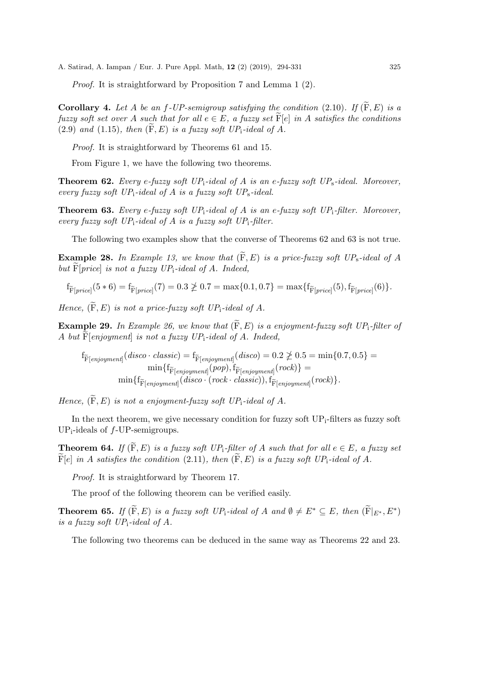Proof. It is straightforward by Proposition 7 and Lemma 1 (2).

Corollary 4. Let A be an f-UP-semigroup satisfying the condition (2.10). If  $(\widetilde{F}, E)$  is a fuzzy soft set over A such that for all  $e \in E$ , a fuzzy set  $\tilde{F}[e]$  in A satisfies the conditions  $(2.9)$  and  $(1.15)$ , then  $(F, E)$  is a fuzzy soft UP<sub>i</sub>-ideal of A.

Proof. It is straightforward by Theorems 61 and 15.

From Figure 1, we have the following two theorems.

**Theorem 62.** Every e-fuzzy soft  $UP_i$ -ideal of A is an e-fuzzy soft  $UP_s$ -ideal. Moreover, every fuzzy soft  $UP_i$ -ideal of A is a fuzzy soft  $UP_s$ -ideal.

**Theorem 63.** Every e-fuzzy soft  $UP_i$ -ideal of A is an e-fuzzy soft  $UP_i$ -filter. Moreover, every fuzzy soft  $UP_i$ -ideal of A is a fuzzy soft  $UP_i$ -filter.

The following two examples show that the converse of Theorems 62 and 63 is not true.

**Example 28.** In Example 13, we know that  $(\widetilde{F}, E)$  is a price-fuzzy soft UP<sub>s</sub>-ideal of A but  $F[price]$  is not a fuzzy  $UP_i$ -ideal of A. Indeed,

$$
f_{\widetilde{F}[price]}(5 * 6) = f_{\widetilde{F}[price]}(7) = 0.3 \ngeq 0.7 = \max\{0.1, 0.7\} = \max\{f_{\widetilde{F}[price]}(5), f_{\widetilde{F}[price]}(6)\}.
$$

Hence,  $(\widetilde{F}, E)$  is not a price-fuzzy soft UP<sub>i</sub>-ideal of A.

**Example 29.** In Example 26, we know that  $(F, E)$  is a enjoyment-fuzzy soft UP<sub>i</sub>-filter of A but  $\widetilde{F}[eniqument]$  is not a fuzzy  $UP_i$ -ideal of A. Indeed,

$$
f_{\widetilde{F}[enjoyment]}(disco \cdot classic) = f_{\widetilde{F}[enjoyment]}(disco) = 0.2 \ngeq 0.5 = \min\{0.7, 0.5\} = \min\{f_{\widetilde{F}[enjoyment]}(pop), f_{\widetilde{F}[enjoyment]}(rock)\} = \min\{f_{\widetilde{F}[enjoyment]}(disco \cdot (rock \cdot classic)), f_{\widetilde{F}[enjoyment]}(rock)\}.
$$

Hence,  $(\widetilde{F}, E)$  is not a enjoyment-fuzzy soft UP<sub>i</sub>-ideal of A.

In the next theorem, we give necessary condition for fuzzy soft  $UP_i$ -filters as fuzzy soft  $UP_i$ -ideals of  $f$ -UP-semigroups.

**Theorem 64.** If  $(\widetilde{F}, E)$  is a fuzzy soft UP<sub>i</sub>-filter of A such that for all  $e \in E$ , a fuzzy set  $\widetilde{F}[e]$  in A satisfies the condition (2.11), then  $(\widetilde{F}, E)$  is a fuzzy soft UP<sub>i</sub>-ideal of A.

Proof. It is straightforward by Theorem 17.

The proof of the following theorem can be verified easily.

**Theorem 65.** If  $(\widetilde{F}, E)$  is a fuzzy soft  $UP_i$ -ideal of A and  $\emptyset \neq E^* \subseteq E$ , then  $(\widetilde{F}|_{E^*}, E^*)$ is a fuzzy soft  $UP_i$ -ideal of A.

The following two theorems can be deduced in the same way as Theorems 22 and 23.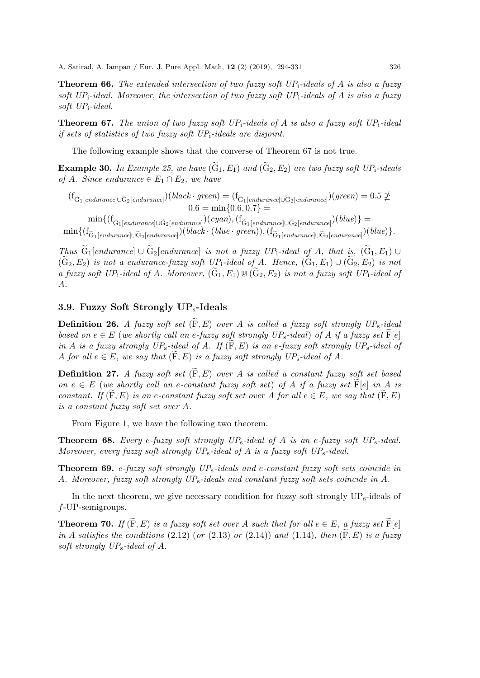**Theorem 66.** The extended intersection of two fuzzy soft  $UP_1$ -ideals of A is also a fuzzy soft UP<sub>i</sub>-ideal. Moreover, the intersection of two fuzzy soft UP<sub>i</sub>-ideals of A is also a fuzzy soft  $UP_i$ -ideal.

**Theorem 67.** The union of two fuzzy soft  $UP_i$ -ideals of A is also a fuzzy soft  $UP_i$ -ideal if sets of statistics of two fuzzy soft  $UP_i$ -ideals are disjoint.

The following example shows that the converse of Theorem 67 is not true.

**Example 30.** In Example 25, we have  $(\widetilde{G}_1, E_1)$  and  $(\widetilde{G}_2, E_2)$  are two fuzzy soft UP<sub>i</sub>-ideals of A. Since endurance  $\in E_1 \cap E_2$ , we have

 $(f_{\tilde{G}_1[endurance] \cup \tilde{G}_2[endurance])} (black \cdot green) = (f_{\tilde{G}_1[endurance] \cup \tilde{G}_2[endurance])} (green) = 0.5 \ngeq$  $0.6 = \min\{0.6, 0.7\}$ 

 $\min\{(\mathfrak{f}_{\widetilde{\mathrm{G}}_1[\textit{endurance}]\cup \widetilde{\mathrm{G}}_2[\textit{endurance}])(\textit{cyan}),(\mathfrak{f}_{\widetilde{\mathrm{G}}_1[\textit{endurance}]\cup \widetilde{\mathrm{G}}_2[\textit{endurance}])(\textit{blue})\} =$  $\min\{(\mathrm{f}_{\widetilde{\mathrm{G}}_1[endurance]\cup \widetilde{\mathrm{G}}_2[endurance]})(black\cdot(\textit{blue} \cdot \textit{green})), (\mathrm{f}_{\widetilde{\mathrm{G}}_1[endurance]\cup \widetilde{\mathrm{G}}_2[endurance]})(\textit{blue})\}.$ 

Thus  $\widetilde{G}_1$ [endurance] ∪  $\widetilde{G}_2$ [endurance] is not a fuzzy UP<sub>i</sub>-ideal of A, that is,  $(\widetilde{G}_1, E_1)$  ∪  $(\widetilde{G}_2, E_2)$  is not a endurance-fuzzy soft UP<sub>i</sub>-ideal of A. Hence,  $(\widetilde{G}_1, E_1) \cup (\widetilde{G}_2, E_2)$  is not a fuzzy soft UP<sub>i</sub>-ideal of A. Moreover,  $(\widetilde{G}_1, E_1) \cup (\widetilde{G}_2, E_2)$  is not a fuzzy soft UP<sub>i</sub>-ideal of A.

# 3.9. Fuzzy Soft Strongly UP<sub>s</sub>-Ideals

**Definition 26.** A fuzzy soft set  $(F, E)$  over A is called a fuzzy soft strongly  $UP_s$ -ideal based on  $e \in E$  (we shortly call an e-fuzzy soft strongly  $UP_s$ -ideal) of A if a fuzzy set  $F[e]$ in A is a fuzzy strongly  $UP_s$ -ideal of A. If  $(F, E)$  is an e-fuzzy soft strongly  $UP_s$ -ideal of A for all  $e \in E$ , we say that  $(F, E)$  is a fuzzy soft strongly  $UP_s$ -ideal of A.

**Definition 27.** A fuzzy soft set  $(\widetilde{F}, E)$  over A is called a constant fuzzy soft set based on  $e \in E$  (we shortly call an e-constant fuzzy soft set) of A if a fuzzy set  $\widetilde{\mathbf{F}}[e]$  in A is constant. If  $(F, E)$  is an e-constant fuzzy soft set over A for all  $e \in E$ , we say that  $(F, E)$ is a constant fuzzy soft set over A.

From Figure 1, we have the following two theorem.

**Theorem 68.** Every e-fuzzy soft strongly  $UP_s$ -ideal of A is an e-fuzzy soft  $UP_s$ -ideal. Moreover, every fuzzy soft strongly  $UP_s$ -ideal of A is a fuzzy soft  $UP_s$ -ideal.

**Theorem 69.** e-fuzzy soft strongly  $UP_s$ -ideals and e-constant fuzzy soft sets coincide in A. Moreover, fuzzy soft strongly UPs-ideals and constant fuzzy soft sets coincide in A.

In the next theorem, we give necessary condition for fuzzy soft strongly  $UP_s$ -ideals of f-UP-semigroups.

**Theorem 70.** If  $(\widetilde{F}, E)$  is a fuzzy soft set over A such that for all  $e \in E$ , a fuzzy set  $\widetilde{F}[e]$ in A satisfies the conditions (2.12) (or (2.13) or (2.14)) and (1.14), then  $(\widetilde{F}, E)$  is a fuzzy soft strongly  $UP_s$ -ideal of A.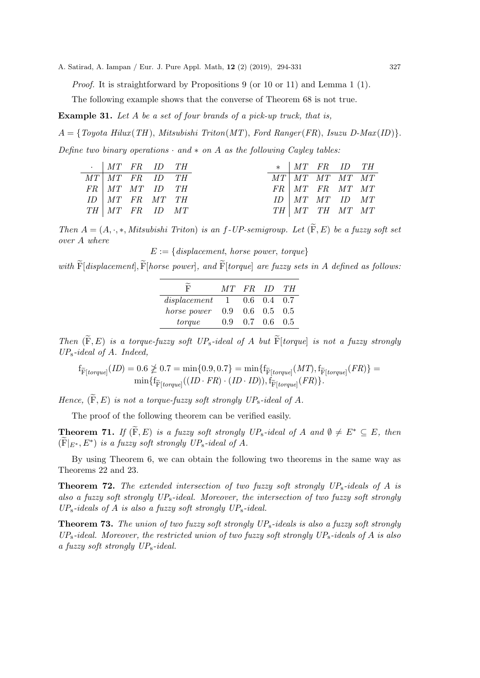*Proof.* It is straightforward by Propositions 9 (or 10 or 11) and Lemma 1 (1).

The following example shows that the converse of Theorem 68 is not true.

Example 31. Let A be a set of four brands of a pick-up truck, that is,

 $A = \{Toyota Hilux(TH), Mitsubishi Triton(MT), Ford Ranger(FR), Isuzu D-Max(ID)\}.$ 

Define two binary operations  $\cdot$  and  $*$  on A as the following Cayley tables:

| $\cdot$   $MT$ $FR$ $ID$ $TH$ |  |  | $*$   MT FR ID TH             |  |  |
|-------------------------------|--|--|-------------------------------|--|--|
| $MT \mid MT$ $FR$ $ID$ $TH$   |  |  | $MT$ $MT$ $MT$ $MT$ $MT$ $MT$ |  |  |
| $FR$   $MT$ $MT$ $ID$ $TH$    |  |  | $FR$   $MT$ $FR$ $MT$ $MT$    |  |  |
| $ID$ $MT$ $FR$ $MT$ $TH$      |  |  | $ID$ $MT$ $MT$ $ID$ $MT$      |  |  |
| $TH$   $MT$ $FR$ $ID$ $MT$    |  |  | $TH$   $MT$ $TH$ $MT$ $MT$    |  |  |

Then  $A = (A, \cdot, \ast, Mitsubishi\; Triton)$  is an f-UP-semigroup. Let  $(\widetilde{F}, E)$  be a fuzzy soft set over A where

 $E := \{displacement, horse power, torque\}$ 

with  $\widetilde{F}[displacement], \widetilde{F}[horse\ power]$ , and  $\widetilde{F}[torque]$  are fuzzy sets in A defined as follows:

| F,                     |               | MT FR ID                         |                           | - TH |
|------------------------|---------------|----------------------------------|---------------------------|------|
| $displacement \quad 1$ |               |                                  | $0.6 \quad 0.4 \quad 0.7$ |      |
| horse power            |               | $0.9\quad 0.6\quad 0.5\quad 0.5$ |                           |      |
| torque                 | $0.9^{\circ}$ |                                  | $0.7 \quad 0.6 \quad 0.5$ |      |

Then  $(F, E)$  is a torque-fuzzy soft UP<sub>s</sub>-ideal of A but  $\widetilde{F}[torque]$  is not a fuzzy strongly  $UP_s$ -ideal of A. Indeed,

$$
f_{\widetilde{F}[torque]}(ID) = 0.6 \ngeq 0.7 = \min\{0.9, 0.7\} = \min\{f_{\widetilde{F}[torque]}(MT), f_{\widetilde{F}[torque]}(FR)\} = \min\{f_{\widetilde{F}[torque]}((ID \cdot FR) \cdot (ID \cdot ID)), f_{\widetilde{F}[torque]}(FR)\}.
$$

Hence,  $(\widetilde{F}, E)$  is not a torque-fuzzy soft strongly  $UP_s$ -ideal of A.

The proof of the following theorem can be verified easily.

**Theorem 71.** If  $(F, E)$  is a fuzzy soft strongly  $UP_s$ -ideal of A and  $\emptyset \neq E^* \subseteq E$ , then  $(\widetilde{F}|_{E^*}, E^*)$  is a fuzzy soft strongly  $UP_s$ -ideal of A.

By using Theorem 6, we can obtain the following two theorems in the same way as Theorems 22 and 23.

**Theorem 72.** The extended intersection of two fuzzy soft strongly  $UP_s$ -ideals of A is also a fuzzy soft strongly  $UP_s$ -ideal. Moreover, the intersection of two fuzzy soft strongly  $UP_s$ -ideals of A is also a fuzzy soft strongly  $UP_s$ -ideal.

**Theorem 73.** The union of two fuzzy soft strongly  $UP_s$ -ideals is also a fuzzy soft strongly  $UP_s$ -ideal. Moreover, the restricted union of two fuzzy soft strongly  $UP_s$ -ideals of A is also a fuzzy soft strongly UPs-ideal.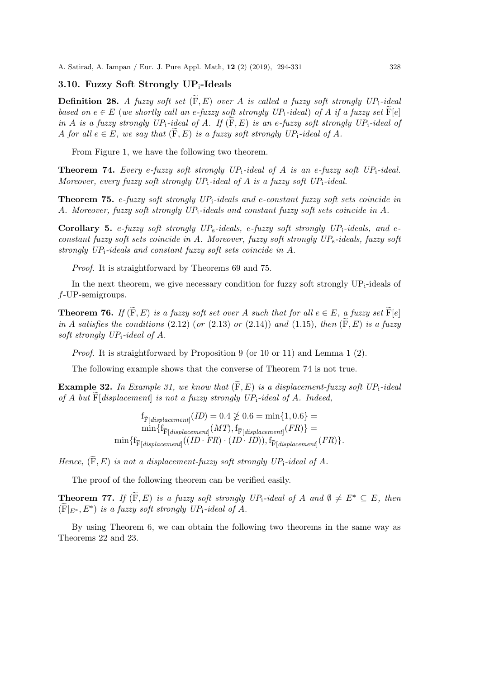# 3.10. Fuzzy Soft Strongly UPi-Ideals

**Definition 28.** A fuzzy soft set  $(\widetilde{F}, E)$  over A is called a fuzzy soft strongly UP<sub>i</sub>-ideal based on  $e \in E$  (we shortly call an e-fuzzy soft strongly UP<sub>i</sub>-ideal) of A if a fuzzy set  $\widetilde{F}[e]$ in A is a fuzzy strongly  $UP_i$ -ideal of A. If  $(F, E)$  is an e-fuzzy soft strongly  $UP_i$ -ideal of A for all  $e \in E$ , we say that  $(F, E)$  is a fuzzy soft strongly  $UP_i$ -ideal of A.

From Figure 1, we have the following two theorem.

**Theorem 74.** Every e-fuzzy soft strongly  $UP_i$ -ideal of A is an e-fuzzy soft  $UP_i$ -ideal. Moreover, every fuzzy soft strongly  $UP_i$ -ideal of A is a fuzzy soft  $UP_i$ -ideal.

**Theorem 75.** e-fuzzy soft strongly  $UP_1$ -ideals and e-constant fuzzy soft sets coincide in A. Moreover, fuzzy soft strongly UPi-ideals and constant fuzzy soft sets coincide in A.

Corollary 5. e-fuzzy soft strongly  $UP_s$ -ideals, e-fuzzy soft strongly  $UP_i$ -ideals, and econstant fuzzy soft sets coincide in A. Moreover, fuzzy soft strongly  $UP_s$ -ideals, fuzzy soft strongly  $UP_i$ -ideals and constant fuzzy soft sets coincide in A.

Proof. It is straightforward by Theorems 69 and 75.

In the next theorem, we give necessary condition for fuzzy soft strongly  $UP_i$ -ideals of f-UP-semigroups.

**Theorem 76.** If  $(\widetilde{F}, E)$  is a fuzzy soft set over A such that for all  $e \in E$ , a fuzzy set  $\widetilde{F}[e]$ in A satisfies the conditions (2.12) (or (2.13) or (2.14)) and (1.15), then  $(\widetilde{F}, E)$  is a fuzzy soft strongly  $UP_i$ -ideal of A.

Proof. It is straightforward by Proposition 9 (or 10 or 11) and Lemma 1 (2).

The following example shows that the converse of Theorem 74 is not true.

**Example 32.** In Example 31, we know that  $(\widetilde{F}, E)$  is a displacement-fuzzy soft UP<sub>i</sub>-ideal of A but  $F[displacement]$  is not a fuzzy strongly  $UP_i$ -ideal of A. Indeed,

$$
\begin{aligned} \mathbf{f}_{\widetilde{\mathbf{F}}[displacement]}(ID) &= 0.4 \ngeq 0.6 = \min\{1, 0.6\} = \\ \min\{ \mathbf{f}_{\widetilde{\mathbf{F}}[displacement]}(MT), \mathbf{f}_{\widetilde{\mathbf{F}}[displacement]}(FR) \} = \\ \min\{ \mathbf{f}_{\widetilde{\mathbf{F}}[displacement]}((ID \cdot FR) \cdot (ID \cdot ID)), \mathbf{f}_{\widetilde{\mathbf{F}}[displacement]}(FR) \}. \end{aligned}
$$

Hence,  $(\widetilde{F}, E)$  is not a displacement-fuzzy soft strongly  $UP_i$ -ideal of A.

The proof of the following theorem can be verified easily.

**Theorem 77.** If  $(\widetilde{F}, E)$  is a fuzzy soft strongly UP<sub>i</sub>-ideal of A and  $\emptyset \neq E^* \subseteq E$ , then  $(\widetilde{F}|_{E^*}, E^*)$  is a fuzzy soft strongly  $UP_i$ -ideal of A.

By using Theorem 6, we can obtain the following two theorems in the same way as Theorems 22 and 23.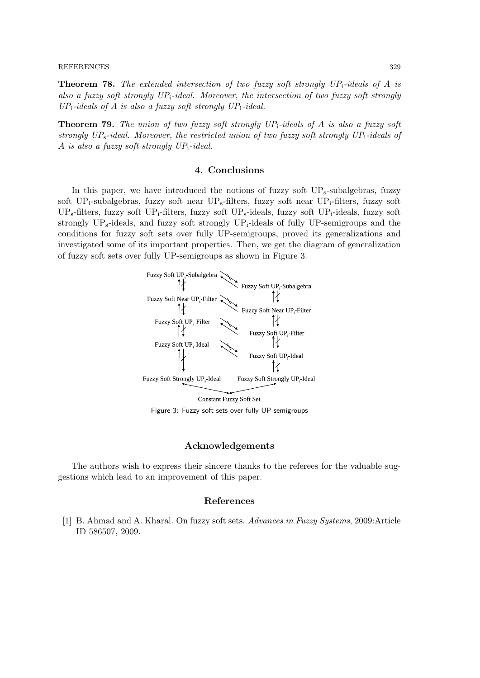#### REFERENCES 329

**Theorem 78.** The extended intersection of two fuzzy soft strongly  $UP_1$ -ideals of A is also a fuzzy soft strongly  $UP_1$ -ideal. Moreover, the intersection of two fuzzy soft strongly  $UP_i$ -ideals of A is also a fuzzy soft strongly  $UP_i$ -ideal.

**Theorem 79.** The union of two fuzzy soft strongly  $UP_1$ -ideals of A is also a fuzzy soft strongly  $UP_s$ -ideal. Moreover, the restricted union of two fuzzy soft strongly  $UP_i$ -ideals of A is also a fuzzy soft strongly  $UP_i$ -ideal.

### 4. Conclusions

In this paper, we have introduced the notions of fuzzy soft  $UP_s$ -subalgebras, fuzzy soft UP<sub>i</sub>-subalgebras, fuzzy soft near UP<sub>s</sub>-filters, fuzzy soft near UP<sub>i</sub>-filters, fuzzy soft  $UP_s$ -filters, fuzzy soft UP<sub>i</sub>-filters, fuzzy soft UP<sub>s</sub>-ideals, fuzzy soft UP<sub>i</sub>-ideals, fuzzy soft strongly  $UP_s$ -ideals, and fuzzy soft strongly  $UP_i$ -ideals of fully UP-semigroups and the conditions for fuzzy soft sets over fully UP-semigroups, proved its generalizations and investigated some of its important properties. Then, we get the diagram of generalization



Figure 3: Fuzzy soft sets over fully UP-semigroups

### Acknowledgements

The authors wish to express their sincere thanks to the referees for the valuable suggestions which lead to an improvement of this paper.

#### References

[1] B. Ahmad and A. Kharal. On fuzzy soft sets. Advances in Fuzzy Systems, 2009:Article ID 586507, 2009.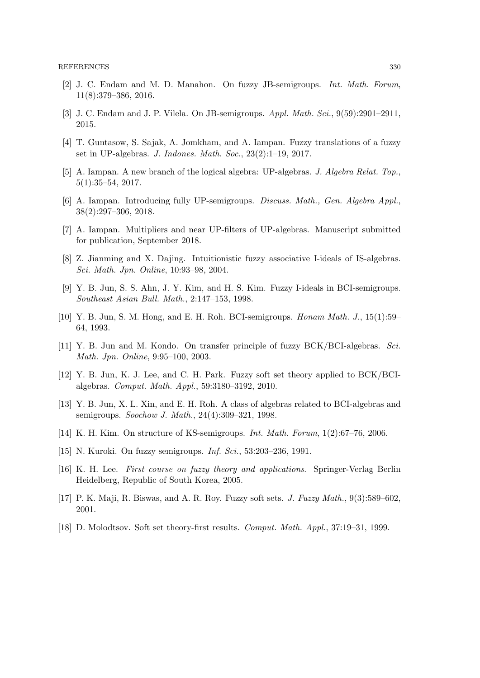- [2] J. C. Endam and M. D. Manahon. On fuzzy JB-semigroups. Int. Math. Forum, 11(8):379–386, 2016.
- [3] J. C. Endam and J. P. Vilela. On JB-semigroups. Appl. Math. Sci., 9(59):2901–2911, 2015.
- [4] T. Guntasow, S. Sajak, A. Jomkham, and A. Iampan. Fuzzy translations of a fuzzy set in UP-algebras. J. Indones. Math. Soc., 23(2):1–19, 2017.
- [5] A. Iampan. A new branch of the logical algebra: UP-algebras. J. Algebra Relat. Top., 5(1):35–54, 2017.
- [6] A. Iampan. Introducing fully UP-semigroups. Discuss. Math., Gen. Algebra Appl., 38(2):297–306, 2018.
- [7] A. Iampan. Multipliers and near UP-filters of UP-algebras. Manuscript submitted for publication, September 2018.
- [8] Z. Jianming and X. Dajing. Intuitionistic fuzzy associative I-ideals of IS-algebras. Sci. Math. Jpn. Online, 10:93–98, 2004.
- [9] Y. B. Jun, S. S. Ahn, J. Y. Kim, and H. S. Kim. Fuzzy I-ideals in BCI-semigroups. Southeast Asian Bull. Math., 2:147–153, 1998.
- [10] Y. B. Jun, S. M. Hong, and E. H. Roh. BCI-semigroups. Honam Math. J., 15(1):59– 64, 1993.
- [11] Y. B. Jun and M. Kondo. On transfer principle of fuzzy BCK/BCI-algebras. Sci. Math. Jpn. Online, 9:95–100, 2003.
- [12] Y. B. Jun, K. J. Lee, and C. H. Park. Fuzzy soft set theory applied to BCK/BCIalgebras. Comput. Math. Appl., 59:3180–3192, 2010.
- [13] Y. B. Jun, X. L. Xin, and E. H. Roh. A class of algebras related to BCI-algebras and semigroups. Soochow J. Math., 24(4):309–321, 1998.
- [14] K. H. Kim. On structure of KS-semigroups. Int. Math. Forum, 1(2):67–76, 2006.
- [15] N. Kuroki. On fuzzy semigroups. *Inf. Sci.*, 53:203-236, 1991.
- [16] K. H. Lee. First course on fuzzy theory and applications. Springer-Verlag Berlin Heidelberg, Republic of South Korea, 2005.
- [17] P. K. Maji, R. Biswas, and A. R. Roy. Fuzzy soft sets. J. Fuzzy Math., 9(3):589–602, 2001.
- [18] D. Molodtsov. Soft set theory-first results. Comput. Math. Appl., 37:19–31, 1999.